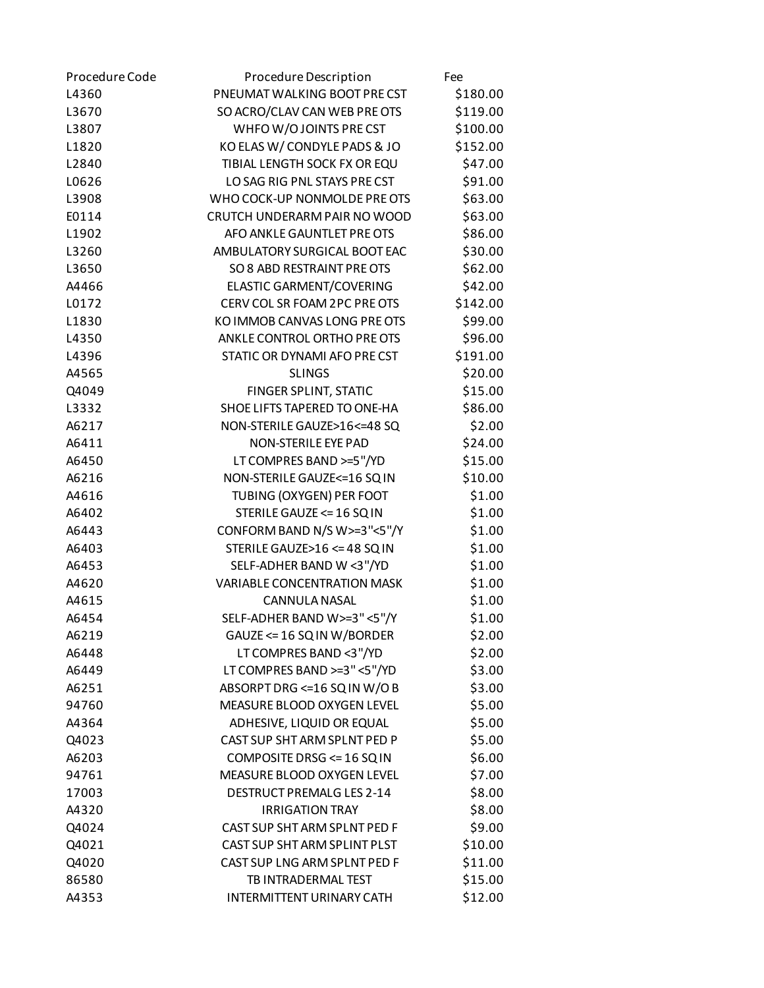| Procedure Code | Procedure Description              | Fee      |
|----------------|------------------------------------|----------|
| L4360          | PNEUMAT WALKING BOOT PRECST        | \$180.00 |
| L3670          | SO ACRO/CLAV CAN WEB PRE OTS       | \$119.00 |
| L3807          | WHFOW/OJOINTS PRECST               | \$100.00 |
| L1820          | KO ELAS W/ CONDYLE PADS & JO       | \$152.00 |
| L2840          | TIBIAL LENGTH SOCK FX OR EQU       | \$47.00  |
| L0626          | LO SAG RIG PNL STAYS PRE CST       | \$91.00  |
| L3908          | WHO COCK-UP NONMOLDE PRE OTS       | \$63.00  |
| E0114          | CRUTCH UNDERARM PAIR NO WOOD       | \$63.00  |
| L1902          | AFO ANKLE GAUNTLET PRE OTS         | \$86.00  |
| L3260          | AMBULATORY SURGICAL BOOT EAC       | \$30.00  |
| L3650          | SO 8 ABD RESTRAINT PRE OTS         | \$62.00  |
| A4466          | ELASTIC GARMENT/COVERING           | \$42.00  |
| L0172          | CERV COL SR FOAM 2PC PRE OTS       | \$142.00 |
| L1830          | KO IMMOB CANVAS LONG PRE OTS       | \$99.00  |
| L4350          | ANKLE CONTROL ORTHO PRE OTS        | \$96.00  |
| L4396          | STATIC OR DYNAMI AFO PRECST        | \$191.00 |
| A4565          | <b>SLINGS</b>                      | \$20.00  |
| Q4049          | FINGER SPLINT, STATIC              | \$15.00  |
| L3332          | SHOE LIFTS TAPERED TO ONE-HA       | \$86.00  |
| A6217          | NON-STERILE GAUZE>16 <= 48 SQ      | \$2.00   |
| A6411          | NON-STERILE EYE PAD                | \$24.00  |
| A6450          | LT COMPRES BAND >=5"/YD            | \$15.00  |
| A6216          | NON-STERILE GAUZE<=16 SQ IN        | \$10.00  |
| A4616          | TUBING (OXYGEN) PER FOOT           | \$1.00   |
| A6402          | STERILE GAUZE <= 16 SQ IN          | \$1.00   |
| A6443          | CONFORM BAND N/S W>=3"<5"/Y        | \$1.00   |
| A6403          | STERILE GAUZE>16 <= 48 SQ IN       | \$1.00   |
| A6453          | SELF-ADHER BAND W <3"/YD           | \$1.00   |
| A4620          | <b>VARIABLE CONCENTRATION MASK</b> | \$1.00   |
| A4615          | <b>CANNULA NASAL</b>               | \$1.00   |
| A6454          | SELF-ADHER BAND W>=3"<5"/Y         | \$1.00   |
| A6219          | GAUZE <= 16 SQ IN W/BORDER         | \$2.00   |
| A6448          | LT COMPRES BAND <3"/YD             | \$2.00   |
| A6449          | LT COMPRES BAND >=3" <5"/YD        | \$3.00   |
| A6251          | ABSORPT DRG <= 16 SQ IN W/O B      | \$3.00   |
| 94760          | MEASURE BLOOD OXYGEN LEVEL         | \$5.00   |
| A4364          | ADHESIVE, LIQUID OR EQUAL          | \$5.00   |
| Q4023          | CAST SUP SHT ARM SPLNT PED P       | \$5.00   |
| A6203          | COMPOSITE DRSG <= 16 SQ IN         | \$6.00   |
| 94761          | MEASURE BLOOD OXYGEN LEVEL         | \$7.00   |
| 17003          | DESTRUCT PREMALG LES 2-14          | \$8.00   |
| A4320          | <b>IRRIGATION TRAY</b>             | \$8.00   |
| Q4024          | CAST SUP SHT ARM SPLNT PED F       | \$9.00   |
| Q4021          | CAST SUP SHT ARM SPLINT PLST       | \$10.00  |
| Q4020          | CAST SUP LNG ARM SPLNT PED F       | \$11.00  |
| 86580          | TB INTRADERMAL TEST                | \$15.00  |
| A4353          | <b>INTERMITTENT URINARY CATH</b>   | \$12.00  |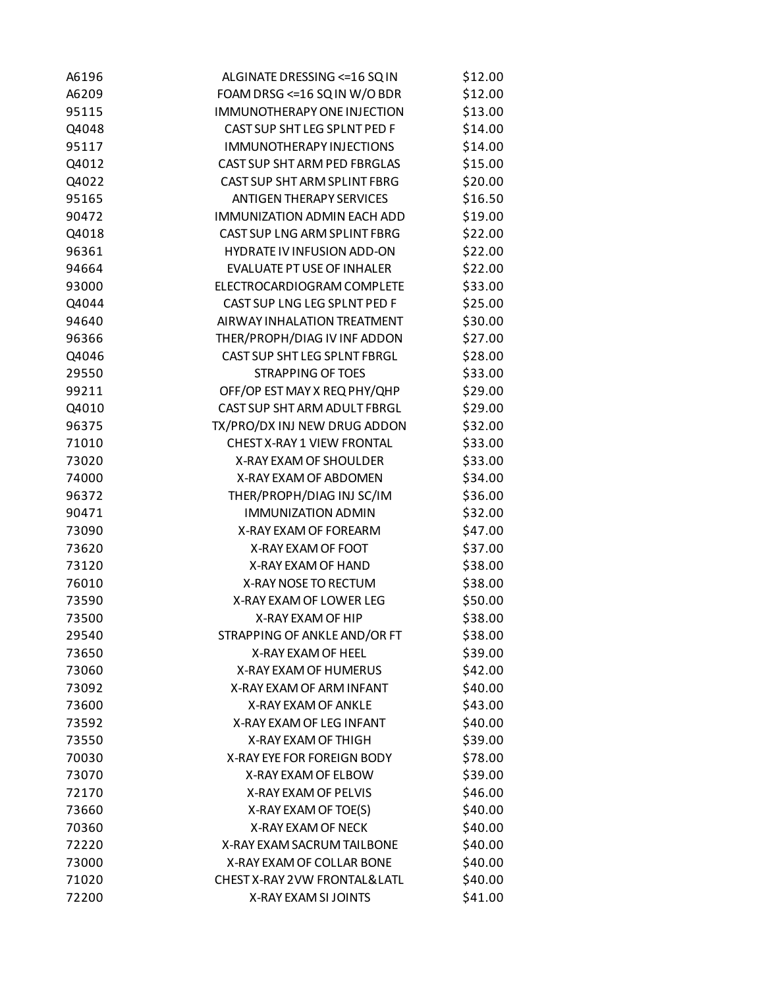| A6196 | ALGINATE DRESSING <= 16 SQ IN      | \$12.00 |
|-------|------------------------------------|---------|
| A6209 | FOAM DRSG <= 16 SQ IN W/O BDR      | \$12.00 |
| 95115 | <b>IMMUNOTHERAPY ONE INJECTION</b> | \$13.00 |
| Q4048 | CAST SUP SHT LEG SPLNT PED F       | \$14.00 |
| 95117 | <b>IMMUNOTHERAPY INJECTIONS</b>    | \$14.00 |
| Q4012 | CAST SUP SHT ARM PED FBRGLAS       | \$15.00 |
| Q4022 | CAST SUP SHT ARM SPLINT FBRG       | \$20.00 |
| 95165 | <b>ANTIGEN THERAPY SERVICES</b>    | \$16.50 |
| 90472 | IMMUNIZATION ADMIN EACH ADD        | \$19.00 |
| Q4018 | CAST SUP LNG ARM SPLINT FBRG       | \$22.00 |
| 96361 | HYDRATE IV INFUSION ADD-ON         | \$22.00 |
| 94664 | EVALUATE PT USE OF INHALER         | \$22.00 |
| 93000 | ELECTROCARDIOGRAM COMPLETE         | \$33.00 |
| Q4044 | CAST SUP LNG LEG SPLNT PED F       | \$25.00 |
| 94640 | AIRWAY INHALATION TREATMENT        | \$30.00 |
| 96366 | THER/PROPH/DIAG IV INF ADDON       | \$27.00 |
| Q4046 | CAST SUP SHT LEG SPLNT FBRGL       | \$28.00 |
| 29550 | <b>STRAPPING OF TOES</b>           | \$33.00 |
| 99211 | OFF/OP EST MAY X REQ PHY/QHP       | \$29.00 |
| Q4010 | CAST SUP SHT ARM ADULT FBRGL       | \$29.00 |
| 96375 | TX/PRO/DX INJ NEW DRUG ADDON       | \$32.00 |
| 71010 | CHEST X-RAY 1 VIEW FRONTAL         | \$33.00 |
| 73020 | X-RAY EXAM OF SHOULDER             | \$33.00 |
| 74000 | X-RAY EXAM OF ABDOMEN              | \$34.00 |
| 96372 | THER/PROPH/DIAG INJ SC/IM          | \$36.00 |
| 90471 | <b>IMMUNIZATION ADMIN</b>          | \$32.00 |
| 73090 | X-RAY EXAM OF FOREARM              | \$47.00 |
| 73620 | X-RAY EXAM OF FOOT                 | \$37.00 |
| 73120 | X-RAY EXAM OF HAND                 | \$38.00 |
| 76010 | X-RAY NOSE TO RECTUM               | \$38.00 |
| 73590 | X-RAY EXAM OF LOWER LEG            | \$50.00 |
| 73500 | X-RAY EXAM OF HIP                  | \$38.00 |
| 29540 | STRAPPING OF ANKLE AND/OR FT       | \$38.00 |
| 73650 | X-RAY EXAM OF HEEL                 | \$39.00 |
| 73060 | X-RAY EXAM OF HUMERUS              | \$42.00 |
| 73092 | X-RAY EXAM OF ARM INFANT           | \$40.00 |
| 73600 | <b>X-RAY EXAM OF ANKLE</b>         | \$43.00 |
| 73592 | X-RAY EXAM OF LEG INFANT           | \$40.00 |
| 73550 | X-RAY EXAM OF THIGH                | \$39.00 |
| 70030 | X-RAY EYE FOR FOREIGN BODY         | \$78.00 |
| 73070 | X-RAY EXAM OF ELBOW                | \$39.00 |
| 72170 | X-RAY EXAM OF PELVIS               | \$46.00 |
| 73660 | X-RAY EXAM OF TOE(S)               | \$40.00 |
| 70360 | X-RAY EXAM OF NECK                 | \$40.00 |
| 72220 | X-RAY EXAM SACRUM TAILBONE         | \$40.00 |
|       | X-RAY EXAM OF COLLAR BONE          |         |
| 73000 | CHEST X-RAY 2VW FRONTAL& LATL      | \$40.00 |
| 71020 |                                    | \$40.00 |
| 72200 | X-RAY EXAM SI JOINTS               | \$41.00 |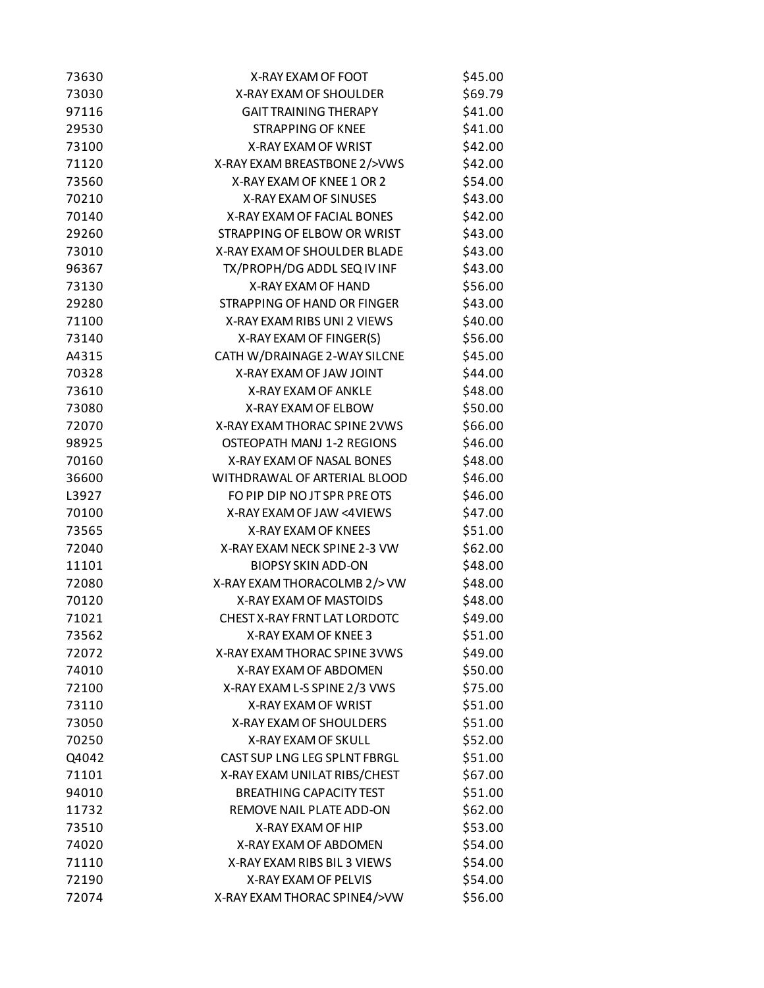| 73630 | X-RAY EXAM OF FOOT             | \$45.00 |
|-------|--------------------------------|---------|
| 73030 | X-RAY EXAM OF SHOULDER         | \$69.79 |
| 97116 | <b>GAIT TRAINING THERAPY</b>   | \$41.00 |
| 29530 | <b>STRAPPING OF KNEE</b>       | \$41.00 |
| 73100 | X-RAY EXAM OF WRIST            | \$42.00 |
| 71120 | X-RAY EXAM BREASTBONE 2/>VWS   | \$42.00 |
| 73560 | X-RAY EXAM OF KNEE 1 OR 2      | \$54.00 |
| 70210 | <b>X-RAY EXAM OF SINUSES</b>   | \$43.00 |
| 70140 | X-RAY EXAM OF FACIAL BONES     | \$42.00 |
| 29260 | STRAPPING OF ELBOW OR WRIST    | \$43.00 |
| 73010 | X-RAY EXAM OF SHOULDER BLADE   | \$43.00 |
| 96367 | TX/PROPH/DG ADDL SEQ IV INF    | \$43.00 |
| 73130 | X-RAY EXAM OF HAND             | \$56.00 |
| 29280 | STRAPPING OF HAND OR FINGER    | \$43.00 |
| 71100 | X-RAY EXAM RIBS UNI 2 VIEWS    | \$40.00 |
| 73140 | X-RAY EXAM OF FINGER(S)        | \$56.00 |
| A4315 | CATH W/DRAINAGE 2-WAY SILCNE   | \$45.00 |
| 70328 | X-RAY EXAM OF JAW JOINT        | \$44.00 |
| 73610 | X-RAY EXAM OF ANKLE            | \$48.00 |
| 73080 | X-RAY EXAM OF ELBOW            | \$50.00 |
| 72070 | X-RAY EXAM THORAC SPINE 2 VWS  | \$66.00 |
| 98925 | OSTEOPATH MANJ 1-2 REGIONS     | \$46.00 |
| 70160 | X-RAY EXAM OF NASAL BONES      | \$48.00 |
| 36600 | WITHDRAWAL OF ARTERIAL BLOOD   | \$46.00 |
| L3927 | FO PIP DIP NO JT SPR PRE OTS   | \$46.00 |
| 70100 | X-RAY EXAM OF JAW <4VIEWS      | \$47.00 |
| 73565 | X-RAY EXAM OF KNEES            | \$51.00 |
| 72040 | X-RAY EXAM NECK SPINE 2-3 VW   | \$62.00 |
| 11101 | <b>BIOPSY SKIN ADD-ON</b>      | \$48.00 |
| 72080 | X-RAY EXAM THORACOLMB 2/> VW   | \$48.00 |
| 70120 | X-RAY EXAM OF MASTOIDS         | \$48.00 |
| 71021 | CHEST X-RAY FRNT LAT LORDOTC   | \$49.00 |
| 73562 | X-RAY EXAM OF KNEE 3           | \$51.00 |
| 72072 | X-RAY EXAM THORAC SPINE 3 VWS  | \$49.00 |
| 74010 | X-RAY EXAM OF ABDOMEN          | \$50.00 |
| 72100 | X-RAY EXAM L-S SPINE 2/3 VWS   | \$75.00 |
| 73110 | X-RAY EXAM OF WRIST            | \$51.00 |
| 73050 | X-RAY EXAM OF SHOULDERS        | \$51.00 |
| 70250 | X-RAY EXAM OF SKULL            | \$52.00 |
| Q4042 | CAST SUP LNG LEG SPLNT FBRGL   | \$51.00 |
| 71101 | X-RAY EXAM UNILAT RIBS/CHEST   | \$67.00 |
| 94010 | <b>BREATHING CAPACITY TEST</b> | \$51.00 |
| 11732 | REMOVE NAIL PLATE ADD-ON       | \$62.00 |
| 73510 | X-RAY EXAM OF HIP              | \$53.00 |
| 74020 | X-RAY EXAM OF ABDOMEN          | \$54.00 |
| 71110 | X-RAY EXAM RIBS BIL 3 VIEWS    | \$54.00 |
| 72190 | X-RAY EXAM OF PELVIS           | \$54.00 |
| 72074 | X-RAY EXAM THORAC SPINE4/>VW   | \$56.00 |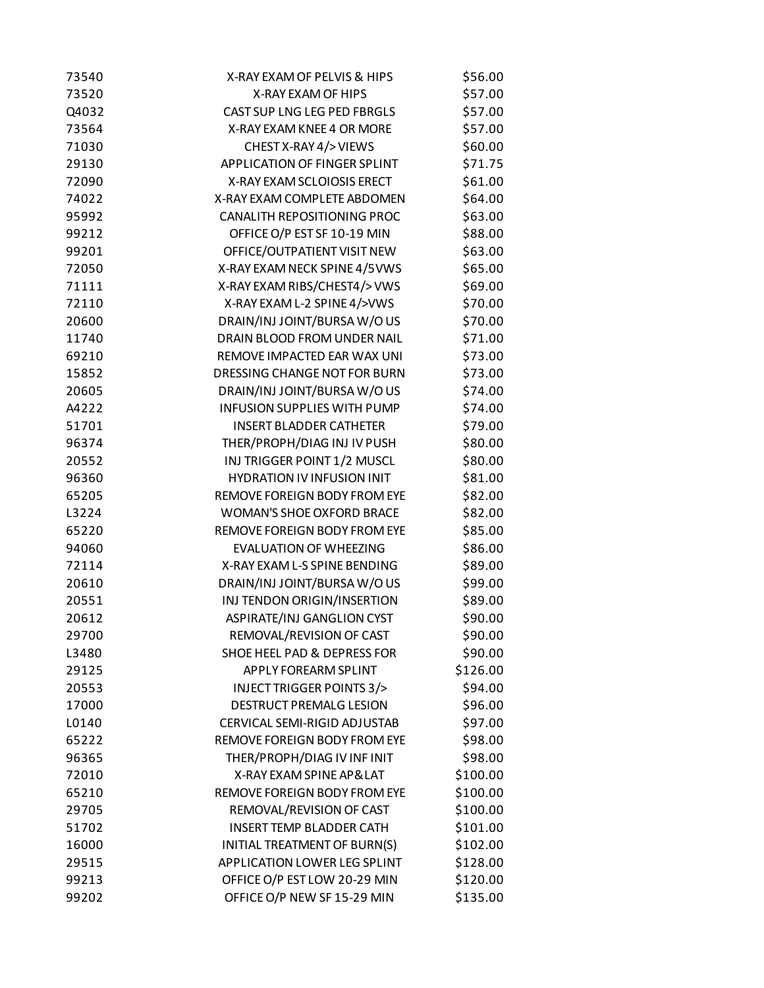| 73540 | X-RAY EXAM OF PELVIS & HIPS         | \$56.00  |
|-------|-------------------------------------|----------|
| 73520 | X-RAY EXAM OF HIPS                  | \$57.00  |
| Q4032 | CAST SUP LNG LEG PED FBRGLS         | \$57.00  |
| 73564 | X-RAY EXAM KNEE 4 OR MORE           | \$57.00  |
| 71030 | CHEST X-RAY 4/> VIEWS               | \$60.00  |
| 29130 | APPLICATION OF FINGER SPLINT        | \$71.75  |
| 72090 | X-RAY EXAM SCLOIOSIS ERECT          | \$61.00  |
| 74022 | X-RAY EXAM COMPLETE ABDOMEN         | \$64.00  |
| 95992 | CANALITH REPOSITIONING PROC         | \$63.00  |
| 99212 | OFFICE O/P EST SF 10-19 MIN         | \$88.00  |
| 99201 | OFFICE/OUTPATIENT VISIT NEW         | \$63.00  |
| 72050 | X-RAY EXAM NECK SPINE 4/5 VWS       | \$65.00  |
| 71111 | X-RAY EXAM RIBS/CHEST4/> VWS        | \$69.00  |
| 72110 | X-RAY EXAM L-2 SPINE 4/>VWS         | \$70.00  |
| 20600 | DRAIN/INJ JOINT/BURSA W/OUS         | \$70.00  |
| 11740 | DRAIN BLOOD FROM UNDER NAIL         | \$71.00  |
| 69210 | REMOVE IMPACTED EAR WAX UNI         | \$73.00  |
| 15852 | DRESSING CHANGE NOT FOR BURN        | \$73.00  |
| 20605 | DRAIN/INJ JOINT/BURSA W/OUS         | \$74.00  |
| A4222 | <b>INFUSION SUPPLIES WITH PUMP</b>  | \$74.00  |
| 51701 | <b>INSERT BLADDER CATHETER</b>      | \$79.00  |
| 96374 | THER/PROPH/DIAG INJ IV PUSH         | \$80.00  |
| 20552 | INJ TRIGGER POINT 1/2 MUSCL         | \$80.00  |
| 96360 | <b>HYDRATION IV INFUSION INIT</b>   | \$81.00  |
| 65205 | REMOVE FOREIGN BODY FROM EYE        | \$82.00  |
| L3224 | <b>WOMAN'S SHOE OXFORD BRACE</b>    | \$82.00  |
| 65220 | REMOVE FOREIGN BODY FROM EYE        | \$85.00  |
| 94060 | <b>EVALUATION OF WHEEZING</b>       | \$86.00  |
| 72114 | X-RAY EXAM L-S SPINE BENDING        | \$89.00  |
| 20610 | DRAIN/INJ JOINT/BURSA W/OUS         | \$99.00  |
| 20551 | INJ TENDON ORIGIN/INSERTION         | \$89.00  |
| 20612 | ASPIRATE/INJ GANGLION CYST          | \$90.00  |
| 29700 | REMOVAL/REVISION OF CAST            | \$90.00  |
| L3480 | SHOE HEEL PAD & DEPRESS FOR         | \$90.00  |
| 29125 | APPLY FOREARM SPLINT                | \$126.00 |
| 20553 | INJECT TRIGGER POINTS 3/>           | \$94.00  |
| 17000 | DESTRUCT PREMALG LESION             | \$96.00  |
| L0140 | <b>CERVICAL SEMI-RIGID ADJUSTAB</b> | \$97.00  |
| 65222 | REMOVE FOREIGN BODY FROM EYE        | \$98.00  |
| 96365 | THER/PROPH/DIAG IV INF INIT         | \$98.00  |
| 72010 | X-RAY EXAM SPINE AP&LAT             | \$100.00 |
| 65210 | REMOVE FOREIGN BODY FROM EYE        | \$100.00 |
| 29705 | REMOVAL/REVISION OF CAST            | \$100.00 |
| 51702 | <b>INSERT TEMP BLADDER CATH</b>     | \$101.00 |
| 16000 | INITIAL TREATMENT OF BURN(S)        | \$102.00 |
| 29515 | APPLICATION LOWER LEG SPLINT        | \$128.00 |
| 99213 | OFFICE O/P EST LOW 20-29 MIN        | \$120.00 |
| 99202 | OFFICE O/P NEW SF 15-29 MIN         | \$135.00 |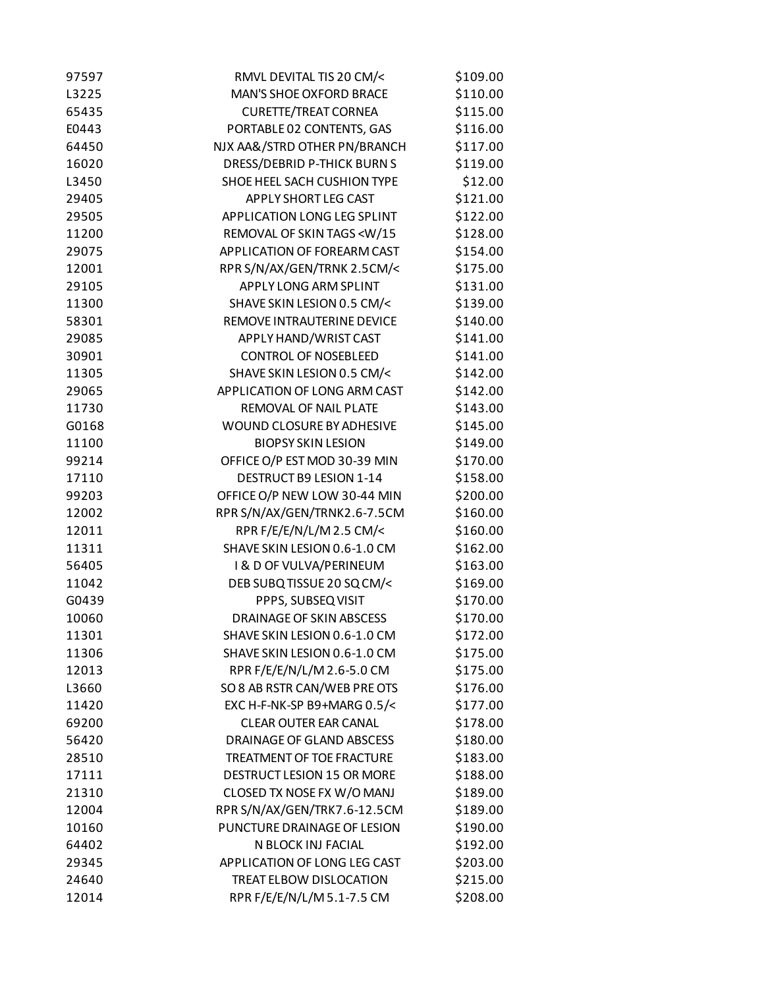| 97597 | RMVL DEVITAL TIS 20 CM/<                                   | \$109.00 |
|-------|------------------------------------------------------------|----------|
| L3225 | <b>MAN'S SHOE OXFORD BRACE</b>                             | \$110.00 |
| 65435 | <b>CURETTE/TREAT CORNEA</b>                                | \$115.00 |
| E0443 | PORTABLE 02 CONTENTS, GAS                                  | \$116.00 |
| 64450 | NJX AA&/STRD OTHER PN/BRANCH                               | \$117.00 |
| 16020 | DRESS/DEBRID P-THICK BURN S                                | \$119.00 |
| L3450 | SHOE HEEL SACH CUSHION TYPE                                | \$12.00  |
| 29405 | <b>APPLY SHORT LEG CAST</b>                                | \$121.00 |
| 29505 | APPLICATION LONG LEG SPLINT                                | \$122.00 |
| 11200 | REMOVAL OF SKIN TAGS <w 15<="" td=""><td>\$128.00</td></w> | \$128.00 |
| 29075 | APPLICATION OF FOREARM CAST                                | \$154.00 |
| 12001 | RPR S/N/AX/GEN/TRNK 2.5CM/<                                | \$175.00 |
| 29105 | APPLY LONG ARM SPLINT                                      | \$131.00 |
| 11300 | SHAVE SKIN LESION 0.5 CM/<                                 | \$139.00 |
| 58301 | REMOVE INTRAUTERINE DEVICE                                 | \$140.00 |
| 29085 | APPLY HAND/WRIST CAST                                      | \$141.00 |
| 30901 | <b>CONTROL OF NOSEBLEED</b>                                | \$141.00 |
| 11305 | SHAVE SKIN LESION 0.5 CM/<                                 | \$142.00 |
| 29065 | APPLICATION OF LONG ARM CAST                               | \$142.00 |
| 11730 | REMOVAL OF NAIL PLATE                                      | \$143.00 |
| G0168 | WOUND CLOSURE BY ADHESIVE                                  | \$145.00 |
| 11100 | <b>BIOPSY SKIN LESION</b>                                  | \$149.00 |
| 99214 | OFFICE O/P EST MOD 30-39 MIN                               | \$170.00 |
| 17110 | DESTRUCT B9 LESION 1-14                                    | \$158.00 |
| 99203 | OFFICE O/P NEW LOW 30-44 MIN                               | \$200.00 |
| 12002 | RPR S/N/AX/GEN/TRNK2.6-7.5CM                               | \$160.00 |
| 12011 | RPR F/E/E/N/L/M 2.5 CM/<                                   | \$160.00 |
| 11311 | SHAVE SKIN LESION 0.6-1.0 CM                               | \$162.00 |
| 56405 | <b>I &amp; D OF VULVA/PERINEUM</b>                         | \$163.00 |
| 11042 | DEB SUBQ TISSUE 20 SQ CM/<                                 | \$169.00 |
| G0439 | PPPS, SUBSEQ VISIT                                         | \$170.00 |
| 10060 | <b>DRAINAGE OF SKIN ABSCESS</b>                            | \$170.00 |
| 11301 | SHAVE SKIN LESION 0.6-1.0 CM                               | \$172.00 |
| 11306 | SHAVE SKIN LESION 0.6-1.0 CM                               | \$175.00 |
| 12013 | RPR F/E/E/N/L/M 2.6-5.0 CM                                 | \$175.00 |
| L3660 | SO 8 AB RSTR CAN/WEB PRE OTS                               | \$176.00 |
| 11420 | EXC H-F-NK-SP B9+MARG 0.5/<                                | \$177.00 |
| 69200 | <b>CLEAR OUTER EAR CANAL</b>                               | \$178.00 |
| 56420 | DRAINAGE OF GLAND ABSCESS                                  | \$180.00 |
| 28510 | TREATMENT OF TOE FRACTURE                                  | \$183.00 |
| 17111 | DESTRUCT LESION 15 OR MORE                                 | \$188.00 |
| 21310 | CLOSED TX NOSE FX W/O MANJ                                 | \$189.00 |
| 12004 | RPR S/N/AX/GEN/TRK7.6-12.5CM                               | \$189.00 |
| 10160 | PUNCTURE DRAINAGE OF LESION                                | \$190.00 |
| 64402 | N BLOCK INJ FACIAL                                         | \$192.00 |
| 29345 | APPLICATION OF LONG LEG CAST                               | \$203.00 |
| 24640 | TREAT ELBOW DISLOCATION                                    | \$215.00 |
| 12014 | RPR F/E/E/N/L/M 5.1-7.5 CM                                 | \$208.00 |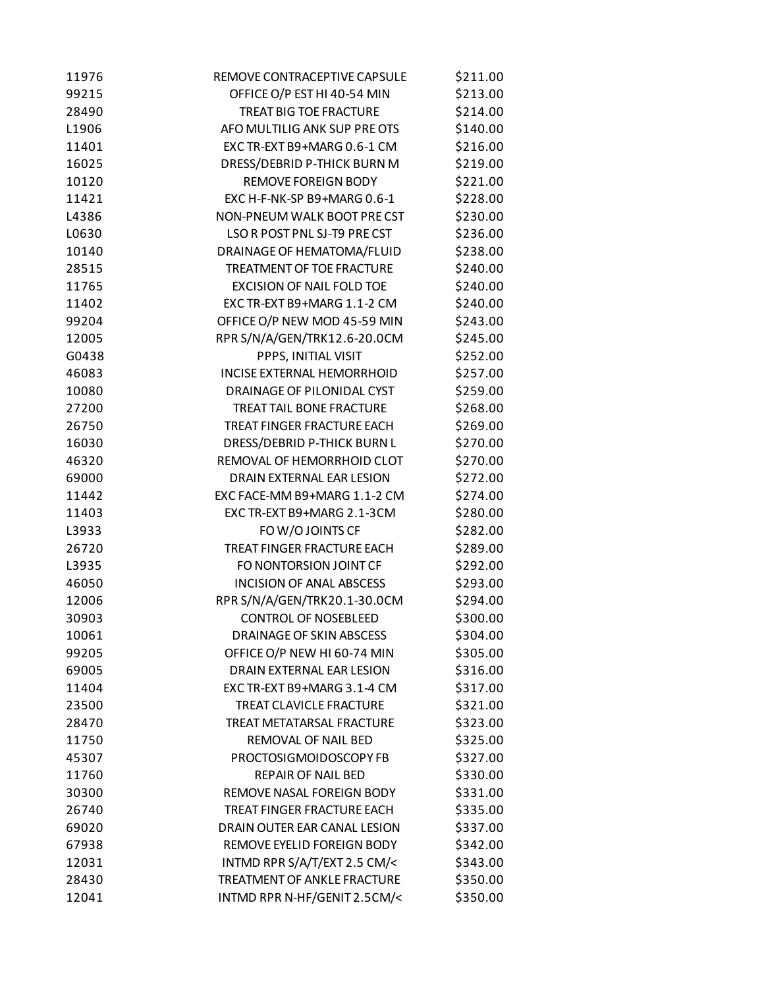| 11976 | REMOVE CONTRACEPTIVE CAPSULE     | \$211.00 |
|-------|----------------------------------|----------|
| 99215 | OFFICE O/P EST HI 40-54 MIN      | \$213.00 |
| 28490 | <b>TREAT BIG TOE FRACTURE</b>    | \$214.00 |
| L1906 | AFO MULTILIG ANK SUP PRE OTS     | \$140.00 |
| 11401 | EXC TR-EXT B9+MARG 0.6-1 CM      | \$216.00 |
| 16025 | DRESS/DEBRID P-THICK BURN M      | \$219.00 |
| 10120 | <b>REMOVE FOREIGN BODY</b>       | \$221.00 |
| 11421 | EXC H-F-NK-SP B9+MARG 0.6-1      | \$228.00 |
| L4386 | NON-PNEUM WALK BOOT PRECST       | \$230.00 |
| L0630 | LSO R POST PNL SJ-T9 PRE CST     | \$236.00 |
| 10140 | DRAINAGE OF HEMATOMA/FLUID       | \$238.00 |
| 28515 | TREATMENT OF TOE FRACTURE        | \$240.00 |
| 11765 | <b>EXCISION OF NAIL FOLD TOE</b> | \$240.00 |
| 11402 | EXC TR-EXT B9+MARG 1.1-2 CM      | \$240.00 |
| 99204 | OFFICE O/P NEW MOD 45-59 MIN     | \$243.00 |
| 12005 | RPR S/N/A/GEN/TRK12.6-20.0CM     | \$245.00 |
| G0438 | PPPS, INITIAL VISIT              | \$252.00 |
| 46083 | INCISE EXTERNAL HEMORRHOID       | \$257.00 |
| 10080 | DRAINAGE OF PILONIDAL CYST       | \$259.00 |
| 27200 | <b>TREAT TAIL BONE FRACTURE</b>  | \$268.00 |
| 26750 | TREAT FINGER FRACTURE EACH       | \$269.00 |
| 16030 | DRESS/DEBRID P-THICK BURN L      | \$270.00 |
| 46320 | REMOVAL OF HEMORRHOID CLOT       | \$270.00 |
| 69000 | DRAIN EXTERNAL EAR LESION        | \$272.00 |
| 11442 | EXC FACE-MM B9+MARG 1.1-2 CM     | \$274.00 |
| 11403 | EXC TR-EXT B9+MARG 2.1-3CM       | \$280.00 |
| L3933 | FOW/OJOINTS CF                   | \$282.00 |
| 26720 | TREAT FINGER FRACTURE EACH       | \$289.00 |
| L3935 | FO NONTORSION JOINT CF           | \$292.00 |
| 46050 | <b>INCISION OF ANAL ABSCESS</b>  | \$293.00 |
| 12006 | RPR S/N/A/GEN/TRK20.1-30.0CM     | \$294.00 |
| 30903 | <b>CONTROL OF NOSEBLEED</b>      | \$300.00 |
| 10061 | <b>DRAINAGE OF SKIN ABSCESS</b>  | \$304.00 |
| 99205 | OFFICE O/P NEW HI 60-74 MIN      | \$305.00 |
| 69005 | DRAIN EXTERNAL EAR LESION        | \$316.00 |
| 11404 | EXC TR-EXT B9+MARG 3.1-4 CM      | \$317.00 |
| 23500 | <b>TREAT CLAVICLE FRACTURE</b>   | \$321.00 |
| 28470 | TREAT METATARSAL FRACTURE        | \$323.00 |
| 11750 | REMOVAL OF NAIL BED              | \$325.00 |
| 45307 | PROCTOSIGMOIDOSCOPY FB           | \$327.00 |
| 11760 | <b>REPAIR OF NAIL BED</b>        | \$330.00 |
| 30300 | REMOVE NASAL FOREIGN BODY        | \$331.00 |
| 26740 | TREAT FINGER FRACTURE EACH       | \$335.00 |
| 69020 | DRAIN OUTER EAR CANAL LESION     | \$337.00 |
| 67938 | REMOVE EYELID FOREIGN BODY       | \$342.00 |
| 12031 | INTMD RPR S/A/T/EXT 2.5 CM/<     | \$343.00 |
| 28430 | TREATMENT OF ANKLE FRACTURE      | \$350.00 |
| 12041 | INTMD RPR N-HF/GENIT 2.5CM/<     | \$350.00 |
|       |                                  |          |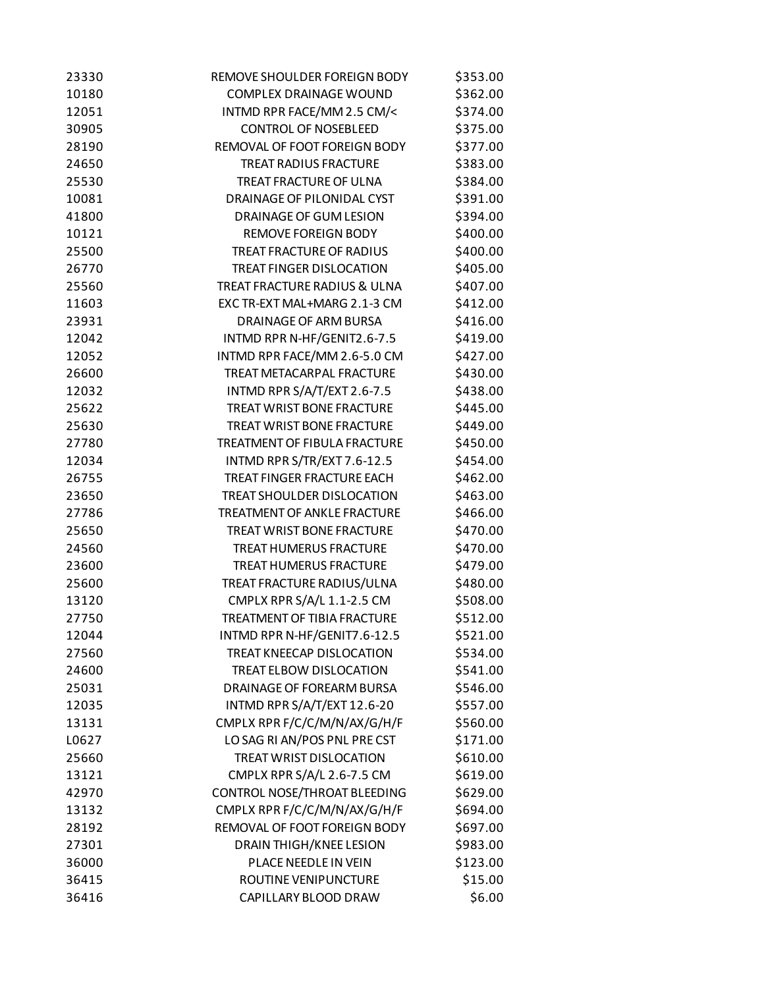| 23330 | REMOVE SHOULDER FOREIGN BODY        | \$353.00 |
|-------|-------------------------------------|----------|
| 10180 | <b>COMPLEX DRAINAGE WOUND</b>       | \$362.00 |
| 12051 | INTMD RPR FACE/MM 2.5 CM/<          | \$374.00 |
| 30905 | <b>CONTROL OF NOSEBLEED</b>         | \$375.00 |
| 28190 | REMOVAL OF FOOT FOREIGN BODY        | \$377.00 |
| 24650 | <b>TREAT RADIUS FRACTURE</b>        | \$383.00 |
| 25530 | TREAT FRACTURE OF ULNA              | \$384.00 |
| 10081 | <b>DRAINAGE OF PILONIDAL CYST</b>   | \$391.00 |
| 41800 | DRAINAGE OF GUM LESION              | \$394.00 |
| 10121 | <b>REMOVE FOREIGN BODY</b>          | \$400.00 |
| 25500 | TREAT FRACTURE OF RADIUS            | \$400.00 |
| 26770 | <b>TREAT FINGER DISLOCATION</b>     | \$405.00 |
| 25560 | TREAT FRACTURE RADIUS & ULNA        | \$407.00 |
| 11603 | EXC TR-EXT MAL+MARG 2.1-3 CM        | \$412.00 |
| 23931 | DRAINAGE OF ARM BURSA               | \$416.00 |
| 12042 | INTMD RPR N-HF/GENIT2.6-7.5         | \$419.00 |
| 12052 | INTMD RPR FACE/MM 2.6-5.0 CM        | \$427.00 |
| 26600 | TREAT METACARPAL FRACTURE           | \$430.00 |
| 12032 | INTMD RPR S/A/T/EXT 2.6-7.5         | \$438.00 |
| 25622 | <b>TREAT WRIST BONE FRACTURE</b>    | \$445.00 |
| 25630 | TREAT WRIST BONE FRACTURE           | \$449.00 |
| 27780 | <b>TREATMENT OF FIBULA FRACTURE</b> | \$450.00 |
| 12034 | INTMD RPR S/TR/EXT 7.6-12.5         | \$454.00 |
| 26755 | TREAT FINGER FRACTURE EACH          | \$462.00 |
| 23650 | TREAT SHOULDER DISLOCATION          | \$463.00 |
| 27786 | <b>TREATMENT OF ANKLE FRACTURE</b>  | \$466.00 |
| 25650 | TREAT WRIST BONE FRACTURE           | \$470.00 |
| 24560 | <b>TREAT HUMERUS FRACTURE</b>       | \$470.00 |
| 23600 | TREAT HUMERUS FRACTURE              | \$479.00 |
| 25600 | TREAT FRACTURE RADIUS/ULNA          | \$480.00 |
| 13120 | CMPLX RPR S/A/L 1.1-2.5 CM          | \$508.00 |
| 27750 | TREATMENT OF TIBIA FRACTURE         | \$512.00 |
| 12044 | INTMD RPR N-HF/GENIT7.6-12.5        | \$521.00 |
| 27560 | TREAT KNEECAP DISLOCATION           | \$534.00 |
| 24600 | TREAT ELBOW DISLOCATION             | \$541.00 |
| 25031 | DRAINAGE OF FOREARM BURSA           | \$546.00 |
| 12035 | INTMD RPR S/A/T/EXT 12.6-20         | \$557.00 |
| 13131 | CMPLX RPR F/C/C/M/N/AX/G/H/F        | \$560.00 |
| L0627 | LO SAG RI AN/POS PNL PRECST         | \$171.00 |
| 25660 | TREAT WRIST DISLOCATION             | \$610.00 |
| 13121 | CMPLX RPR S/A/L 2.6-7.5 CM          | \$619.00 |
| 42970 | CONTROL NOSE/THROAT BLEEDING        | \$629.00 |
| 13132 | CMPLX RPR F/C/C/M/N/AX/G/H/F        | \$694.00 |
| 28192 | REMOVAL OF FOOT FOREIGN BODY        | \$697.00 |
| 27301 | DRAIN THIGH/KNEE LESION             | \$983.00 |
| 36000 | PLACE NEEDLE IN VEIN                | \$123.00 |
| 36415 | ROUTINE VENIPUNCTURE                | \$15.00  |
| 36416 | CAPILLARY BLOOD DRAW                | \$6.00   |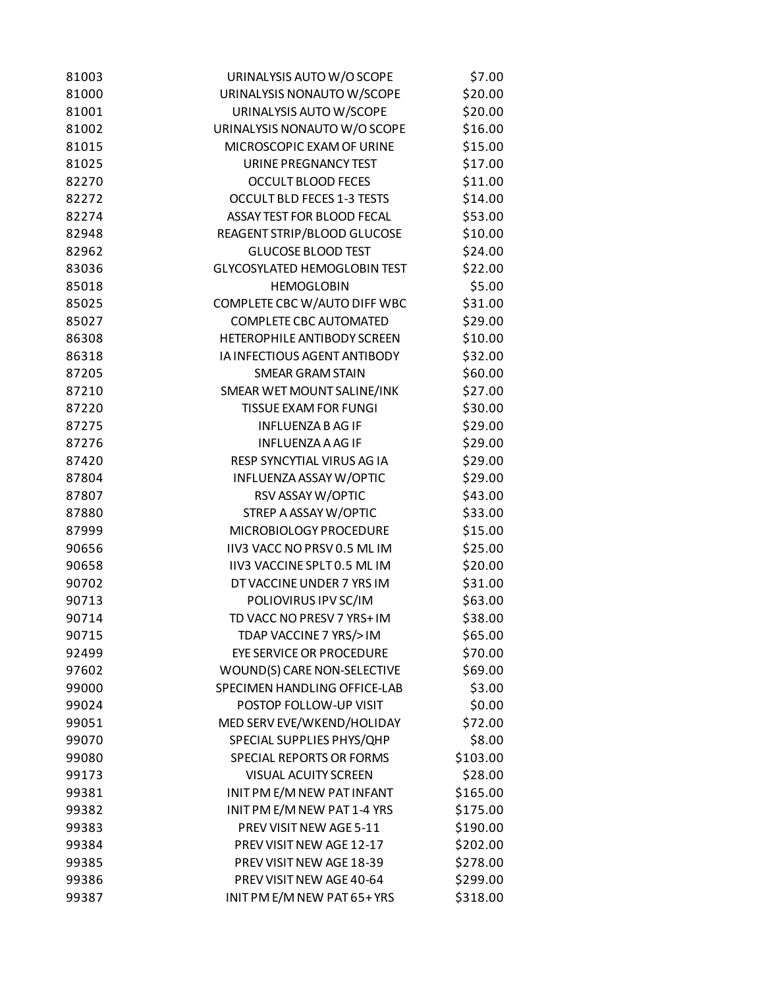| 81003          | URINALYSIS AUTO W/O SCOPE           | \$7.00           |
|----------------|-------------------------------------|------------------|
| 81000          | URINALYSIS NONAUTO W/SCOPE          | \$20.00          |
| 81001          | URINALYSIS AUTO W/SCOPE             | \$20.00          |
| 81002          | URINALYSIS NONAUTO W/O SCOPE        | \$16.00          |
| 81015          | MICROSCOPIC EXAM OF URINE           | \$15.00          |
| 81025          | URINE PREGNANCY TEST                | \$17.00          |
| 82270          | <b>OCCULT BLOOD FECES</b>           | \$11.00          |
| 82272          | <b>OCCULT BLD FECES 1-3 TESTS</b>   | \$14.00          |
| 82274          | ASSAY TEST FOR BLOOD FECAL          | \$53.00          |
| 82948          | REAGENT STRIP/BLOOD GLUCOSE         | \$10.00          |
| 82962          | <b>GLUCOSE BLOOD TEST</b>           | \$24.00          |
| 83036          | <b>GLYCOSYLATED HEMOGLOBIN TEST</b> | \$22.00          |
| 85018          | <b>HEMOGLOBIN</b>                   | \$5.00           |
| 85025          | COMPLETE CBC W/AUTO DIFF WBC        | \$31.00          |
| 85027          | <b>COMPLETE CBC AUTOMATED</b>       | \$29.00          |
| 86308          | HETEROPHILE ANTIBODY SCREEN         | \$10.00          |
| 86318          | IA INFECTIOUS AGENT ANTIBODY        | \$32.00          |
| 87205          | <b>SMEAR GRAM STAIN</b>             | \$60.00          |
| 87210          | SMEAR WET MOUNT SALINE/INK          | \$27.00          |
| 87220          | <b>TISSUE EXAM FOR FUNGI</b>        | \$30.00          |
| 87275          | <b>INFLUENZA B AG IF</b>            | \$29.00          |
| 87276          | <b>INFLUENZA A AG IF</b>            | \$29.00          |
| 87420          | RESP SYNCYTIAL VIRUS AG IA          | \$29.00          |
| 87804          | INFLUENZA ASSAY W/OPTIC             | \$29.00          |
| 87807          | RSV ASSAY W/OPTIC                   | \$43.00          |
| 87880          | STREP A ASSAY W/OPTIC               | \$33.00          |
| 87999          | MICROBIOLOGY PROCEDURE              | \$15.00          |
| 90656          | IIV3 VACC NO PRSV 0.5 ML IM         | \$25.00          |
| 90658          | IIV3 VACCINE SPLT 0.5 ML IM         | \$20.00          |
| 90702          | DT VACCINE UNDER 7 YRS IM           | \$31.00          |
| 90713          | POLIOVIRUS IPV SC/IM                | \$63.00          |
| 90714          | TD VACC NO PRESV 7 YRS+ IM          | \$38.00          |
| 90715          | TDAP VACCINE 7 YRS/>IM              | \$65.00          |
| 92499          | <b>EYE SERVICE OR PROCEDURE</b>     | \$70.00          |
|                |                                     |                  |
| 97602<br>99000 | WOUND(S) CARE NON-SELECTIVE         | \$69.00          |
|                | SPECIMEN HANDLING OFFICE-LAB        | \$3.00<br>\$0.00 |
| 99024          | POSTOP FOLLOW-UP VISIT              |                  |
| 99051          | MED SERV EVE/WKEND/HOLIDAY          | \$72.00          |
| 99070          | SPECIAL SUPPLIES PHYS/QHP           | \$8.00           |
| 99080          | SPECIAL REPORTS OR FORMS            | \$103.00         |
| 99173          | <b>VISUAL ACUITY SCREEN</b>         | \$28.00          |
| 99381          | INIT PM E/M NEW PAT INFANT          | \$165.00         |
| 99382          | INIT PM E/M NEW PAT 1-4 YRS         | \$175.00         |
| 99383          | PREV VISIT NEW AGE 5-11             | \$190.00         |
| 99384          | PREV VISIT NEW AGE 12-17            | \$202.00         |
| 99385          | PREV VISIT NEW AGE 18-39            | \$278.00         |
| 99386          | PREV VISIT NEW AGE 40-64            | \$299.00         |
| 99387          | INIT PM E/M NEW PAT 65+YRS          | \$318.00         |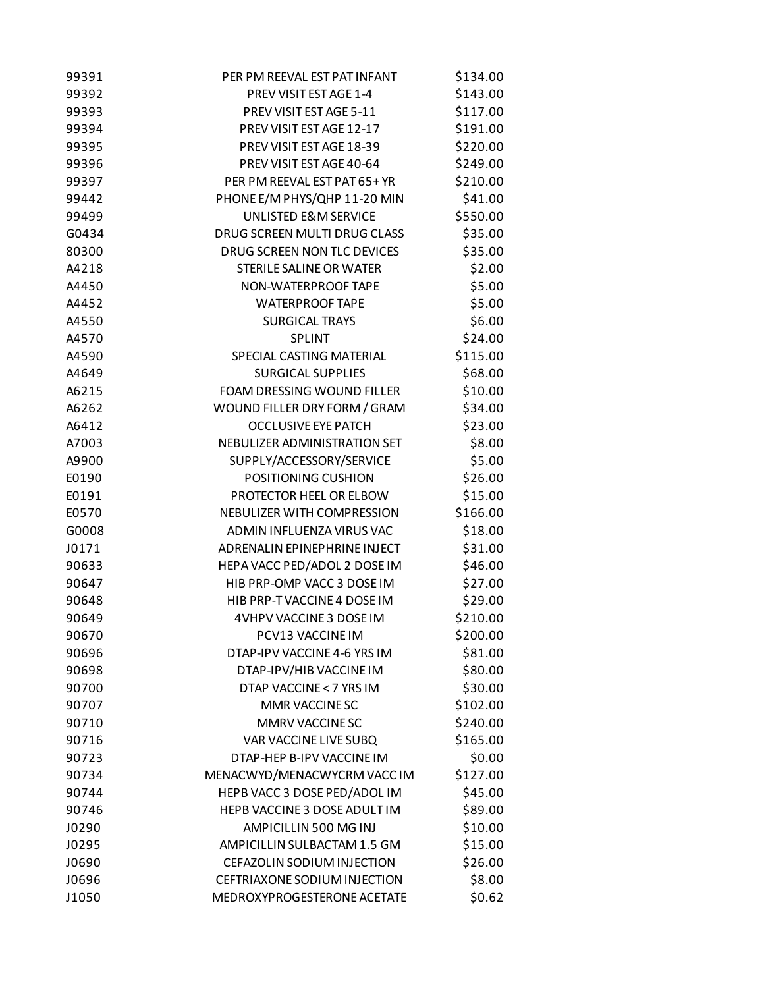| 99391 | PER PM REEVAL EST PAT INFANT       | \$134.00 |
|-------|------------------------------------|----------|
| 99392 | PREV VISIT EST AGE 1-4             | \$143.00 |
| 99393 | PREV VISIT EST AGE 5-11            | \$117.00 |
| 99394 | PREV VISIT EST AGE 12-17           | \$191.00 |
| 99395 | PREV VISIT EST AGE 18-39           | \$220.00 |
| 99396 | PREV VISIT EST AGE 40-64           | \$249.00 |
| 99397 | PER PM REEVAL EST PAT 65+ YR       | \$210.00 |
| 99442 | PHONE E/M PHYS/QHP 11-20 MIN       | \$41.00  |
| 99499 | <b>UNLISTED E&amp;M SERVICE</b>    | \$550.00 |
| G0434 | DRUG SCREEN MULTI DRUG CLASS       | \$35.00  |
| 80300 | <b>DRUG SCREEN NON TLC DEVICES</b> | \$35.00  |
| A4218 | STERILE SALINE OR WATER            | \$2.00   |
| A4450 | NON-WATERPROOF TAPE                | \$5.00   |
| A4452 | <b>WATERPROOF TAPE</b>             | \$5.00   |
| A4550 | <b>SURGICAL TRAYS</b>              | \$6.00   |
| A4570 | SPLINT                             | \$24.00  |
| A4590 | SPECIAL CASTING MATERIAL           | \$115.00 |
| A4649 | <b>SURGICAL SUPPLIES</b>           | \$68.00  |
| A6215 | FOAM DRESSING WOUND FILLER         | \$10.00  |
| A6262 | WOUND FILLER DRY FORM / GRAM       | \$34.00  |
| A6412 | <b>OCCLUSIVE EYE PATCH</b>         | \$23.00  |
| A7003 | NEBULIZER ADMINISTRATION SET       | \$8.00   |
| A9900 | SUPPLY/ACCESSORY/SERVICE           | \$5.00   |
| E0190 | POSITIONING CUSHION                | \$26.00  |
| E0191 | PROTECTOR HEEL OR ELBOW            | \$15.00  |
| E0570 | NEBULIZER WITH COMPRESSION         | \$166.00 |
| G0008 | ADMIN INFLUENZA VIRUS VAC          | \$18.00  |
| J0171 | ADRENALIN EPINEPHRINE INJECT       | \$31.00  |
| 90633 | HEPA VACC PED/ADOL 2 DOSE IM       | \$46.00  |
| 90647 | HIB PRP-OMP VACC 3 DOSE IM         | \$27.00  |
| 90648 | HIB PRP-T VACCINE 4 DOSE IM        | \$29.00  |
| 90649 | 4VHPV VACCINE 3 DOSE IM            | \$210.00 |
| 90670 | PCV13 VACCINE IM                   | \$200.00 |
| 90696 | DTAP-IPV VACCINE 4-6 YRS IM        | \$81.00  |
| 90698 | DTAP-IPV/HIB VACCINE IM            | \$80.00  |
| 90700 | DTAP VACCINE < 7 YRS IM            | \$30.00  |
| 90707 | MMR VACCINE SC                     | \$102.00 |
| 90710 | MMRV VACCINE SC                    | \$240.00 |
| 90716 | VAR VACCINE LIVE SUBQ              | \$165.00 |
| 90723 | DTAP-HEP B-IPV VACCINE IM          | \$0.00   |
| 90734 | MENACWYD/MENACWYCRM VACC IM        | \$127.00 |
| 90744 | HEPB VACC 3 DOSE PED/ADOL IM       | \$45.00  |
| 90746 | HEPB VACCINE 3 DOSE ADULT IM       | \$89.00  |
| J0290 | AMPICILLIN 500 MG INJ              | \$10.00  |
| J0295 | AMPICILLIN SULBACTAM 1.5 GM        | \$15.00  |
| J0690 | CEFAZOLIN SODIUM INJECTION         | \$26.00  |
| J0696 | CEFTRIAXONE SODIUM INJECTION       | \$8.00   |
| J1050 | MEDROXYPROGESTERONE ACETATE        | \$0.62   |
|       |                                    |          |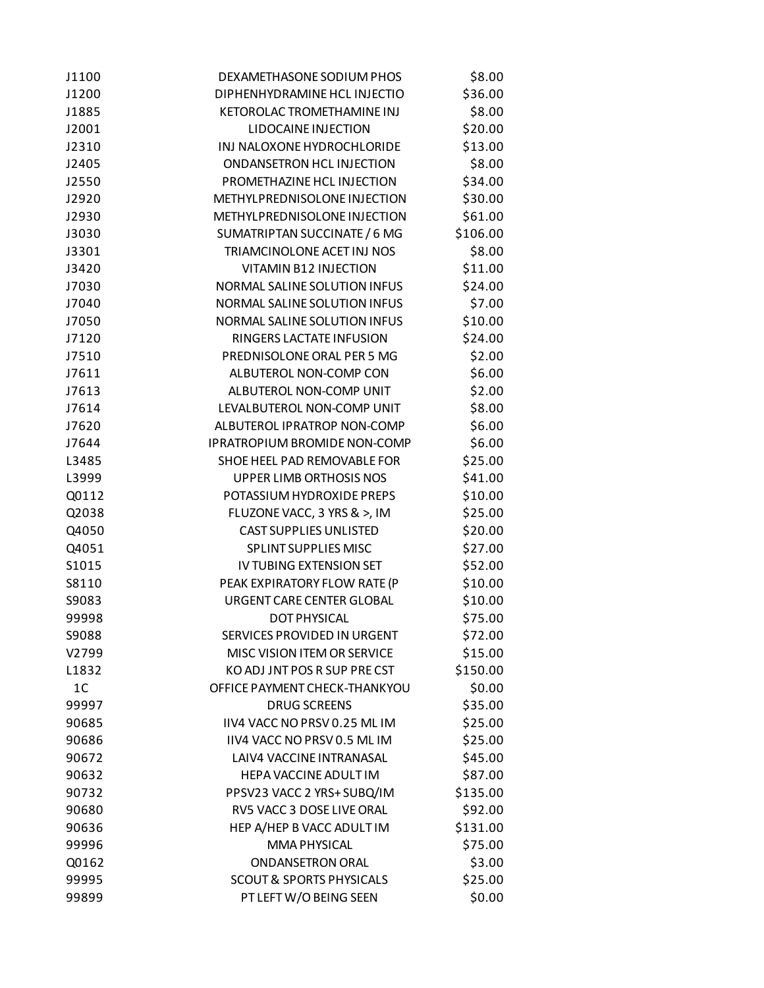| J1100          | DEXAMETHASONE SODIUM PHOS           | \$8.00   |
|----------------|-------------------------------------|----------|
| J1200          | DIPHENHYDRAMINE HCL INJECTIO        | \$36.00  |
| J1885          | KETOROLAC TROMETHAMINE INJ          | \$8.00   |
| J2001          | LIDOCAINE INJECTION                 | \$20.00  |
| J2310          | INJ NALOXONE HYDROCHLORIDE          | \$13.00  |
| J2405          | ONDANSETRON HCL INJECTION           | \$8.00   |
| J2550          | PROMETHAZINE HCL INJECTION          | \$34.00  |
| J2920          | METHYLPREDNISOLONE INJECTION        | \$30.00  |
| J2930          | METHYLPREDNISOLONE INJECTION        | \$61.00  |
| J3030          | SUMATRIPTAN SUCCINATE / 6 MG        | \$106.00 |
| J3301          | TRIAMCINOLONE ACET INJ NOS          | \$8.00   |
| J3420          | VITAMIN B12 INJECTION               | \$11.00  |
| J7030          | NORMAL SALINE SOLUTION INFUS        | \$24.00  |
| J7040          | NORMAL SALINE SOLUTION INFUS        | \$7.00   |
| J7050          | NORMAL SALINE SOLUTION INFUS        | \$10.00  |
| J7120          | RINGERS LACTATE INFUSION            | \$24.00  |
| J7510          | PREDNISOLONE ORAL PER 5 MG          | \$2.00   |
| J7611          | ALBUTEROL NON-COMP CON              | \$6.00   |
| J7613          | ALBUTEROL NON-COMP UNIT             | \$2.00   |
| J7614          | LEVALBUTEROL NON-COMP UNIT          | \$8.00   |
| J7620          | ALBUTEROL IPRATROP NON-COMP         | \$6.00   |
| J7644          | <b>IPRATROPIUM BROMIDE NON-COMP</b> | \$6.00   |
| L3485          | SHOE HEEL PAD REMOVABLE FOR         | \$25.00  |
| L3999          | UPPER LIMB ORTHOSIS NOS             | \$41.00  |
| Q0112          | POTASSIUM HYDROXIDE PREPS           | \$10.00  |
| Q2038          | FLUZONE VACC, 3 YRS & >, IM         | \$25.00  |
| Q4050          | <b>CAST SUPPLIES UNLISTED</b>       | \$20.00  |
| Q4051          | <b>SPLINT SUPPLIES MISC</b>         | \$27.00  |
| S1015          | <b>IV TUBING EXTENSION SET</b>      | \$52.00  |
| S8110          | PEAK EXPIRATORY FLOW RATE (P        | \$10.00  |
| S9083          | URGENT CARE CENTER GLOBAL           | \$10.00  |
| 99998          | <b>DOT PHYSICAL</b>                 | \$75.00  |
| S9088          | SERVICES PROVIDED IN URGENT         | \$72.00  |
| V2799          | MISC VISION ITEM OR SERVICE         | \$15.00  |
| L1832          | KO ADJ JNT POS R SUP PRE CST        | \$150.00 |
| 1 <sup>C</sup> | OFFICE PAYMENT CHECK-THANKYOU       | \$0.00   |
| 99997          | <b>DRUG SCREENS</b>                 | \$35.00  |
| 90685          | IIV4 VACC NO PRSV 0.25 ML IM        | \$25.00  |
| 90686          | IIV4 VACC NO PRSV 0.5 ML IM         | \$25.00  |
| 90672          | LAIV4 VACCINE INTRANASAL            | \$45.00  |
| 90632          | HEPA VACCINE ADULT IM               | \$87.00  |
| 90732          | PPSV23 VACC 2 YRS+ SUBQ/IM          | \$135.00 |
| 90680          | RV5 VACC 3 DOSE LIVE ORAL           | \$92.00  |
| 90636          | HEP A/HEP B VACC ADULT IM           | \$131.00 |
| 99996          | MMA PHYSICAL                        | \$75.00  |
| Q0162          | <b>ONDANSETRON ORAL</b>             | \$3.00   |
| 99995          | <b>SCOUT &amp; SPORTS PHYSICALS</b> | \$25.00  |
| 99899          | PT LEFT W/O BEING SEEN              | \$0.00   |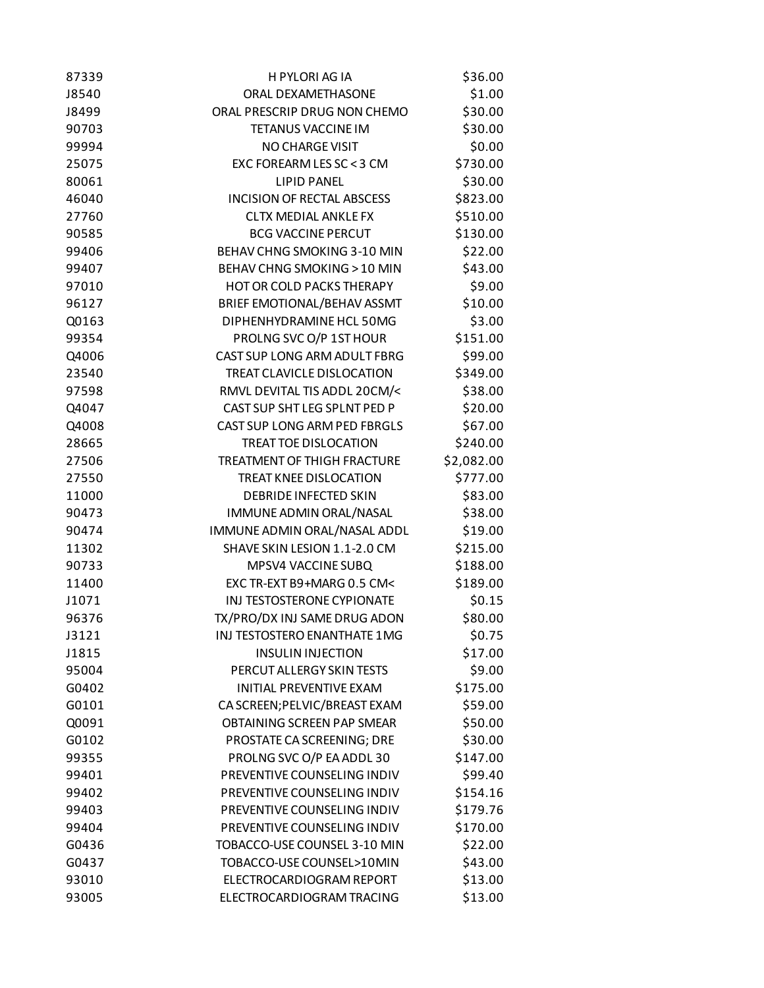| 87339 | H PYLORI AG IA                    | \$36.00    |
|-------|-----------------------------------|------------|
| J8540 | ORAL DEXAMETHASONE                | \$1.00     |
| J8499 | ORAL PRESCRIP DRUG NON CHEMO      | \$30.00    |
| 90703 | TETANUS VACCINE IM                | \$30.00    |
| 99994 | <b>NO CHARGE VISIT</b>            | \$0.00     |
| 25075 | EXC FOREARM LES SC < 3 CM         | \$730.00   |
| 80061 | <b>LIPID PANEL</b>                | \$30.00    |
| 46040 | <b>INCISION OF RECTAL ABSCESS</b> | \$823.00   |
| 27760 | <b>CLTX MEDIAL ANKLE FX</b>       | \$510.00   |
| 90585 | <b>BCG VACCINE PERCUT</b>         | \$130.00   |
| 99406 | BEHAV CHNG SMOKING 3-10 MIN       | \$22.00    |
| 99407 | BEHAV CHNG SMOKING > 10 MIN       | \$43.00    |
| 97010 | <b>HOT OR COLD PACKS THERAPY</b>  | \$9.00     |
| 96127 | BRIEF EMOTIONAL/BEHAV ASSMT       | \$10.00    |
| Q0163 | DIPHENHYDRAMINE HCL 50MG          | \$3.00     |
| 99354 | PROLNG SVC O/P 1ST HOUR           | \$151.00   |
| Q4006 | CAST SUP LONG ARM ADULT FBRG      | \$99.00    |
| 23540 | TREAT CLAVICLE DISLOCATION        | \$349.00   |
| 97598 | RMVL DEVITAL TIS ADDL 20CM/<      | \$38.00    |
| Q4047 | CAST SUP SHT LEG SPLNT PED P      | \$20.00    |
| Q4008 | CAST SUP LONG ARM PED FBRGLS      | \$67.00    |
| 28665 | TREAT TOE DISLOCATION             | \$240.00   |
| 27506 | TREATMENT OF THIGH FRACTURE       | \$2,082.00 |
| 27550 | <b>TREAT KNEE DISLOCATION</b>     | \$777.00   |
| 11000 | DEBRIDE INFECTED SKIN             | \$83.00    |
| 90473 | IMMUNE ADMIN ORAL/NASAL           | \$38.00    |
| 90474 | IMMUNE ADMIN ORAL/NASAL ADDL      | \$19.00    |
| 11302 | SHAVE SKIN LESION 1.1-2.0 CM      | \$215.00   |
| 90733 | MPSV4 VACCINE SUBQ                | \$188.00   |
| 11400 | EXC TR-EXT B9+MARG 0.5 CM<        | \$189.00   |
| J1071 | INJ TESTOSTERONE CYPIONATE        | \$0.15     |
| 96376 | TX/PRO/DX INJ SAME DRUG ADON      | \$80.00    |
| J3121 | INJ TESTOSTERO ENANTHATE 1MG      | \$0.75     |
| J1815 | <b>INSULIN INJECTION</b>          | \$17.00    |
| 95004 | PERCUT ALLERGY SKIN TESTS         | \$9.00     |
| G0402 | INITIAL PREVENTIVE EXAM           | \$175.00   |
| G0101 | CA SCREEN; PELVIC/BREAST EXAM     | \$59.00    |
| Q0091 | OBTAINING SCREEN PAP SMEAR        | \$50.00    |
| G0102 | PROSTATE CA SCREENING; DRE        | \$30.00    |
| 99355 | PROLNG SVC O/P EA ADDL 30         | \$147.00   |
| 99401 | PREVENTIVE COUNSELING INDIV       | \$99.40    |
| 99402 | PREVENTIVE COUNSELING INDIV       | \$154.16   |
| 99403 | PREVENTIVE COUNSELING INDIV       | \$179.76   |
| 99404 | PREVENTIVE COUNSELING INDIV       | \$170.00   |
| G0436 | TOBACCO-USE COUNSEL 3-10 MIN      | \$22.00    |
| G0437 | TOBACCO-USE COUNSEL>10MIN         | \$43.00    |
| 93010 | ELECTROCARDIOGRAM REPORT          | \$13.00    |
| 93005 | ELECTROCARDIOGRAM TRACING         | \$13.00    |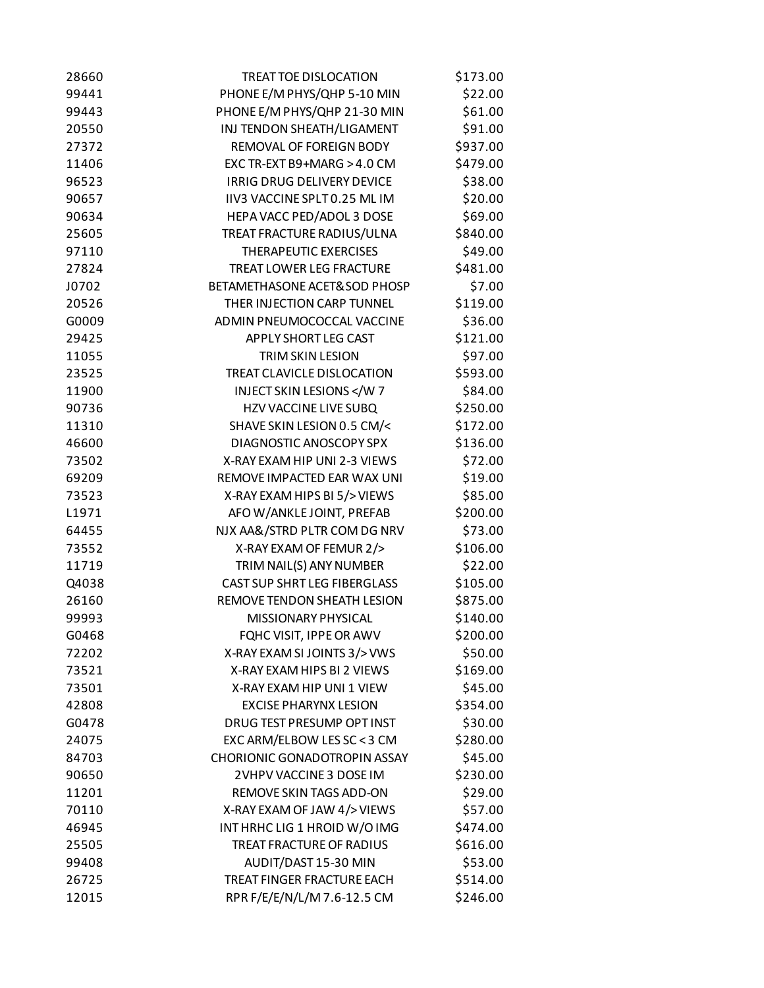| 28660 | TREAT TOE DISLOCATION               | \$173.00 |
|-------|-------------------------------------|----------|
| 99441 | PHONE E/M PHYS/QHP 5-10 MIN         | \$22.00  |
| 99443 | PHONE E/M PHYS/QHP 21-30 MIN        | \$61.00  |
| 20550 | INJ TENDON SHEATH/LIGAMENT          | \$91.00  |
| 27372 | REMOVAL OF FOREIGN BODY             | \$937.00 |
| 11406 | EXC TR-EXT B9+MARG > 4.0 CM         | \$479.00 |
| 96523 | IRRIG DRUG DELIVERY DEVICE          | \$38.00  |
| 90657 | IIV3 VACCINE SPLT 0.25 ML IM        | \$20.00  |
| 90634 | HEPA VACC PED/ADOL 3 DOSE           | \$69.00  |
| 25605 | TREAT FRACTURE RADIUS/ULNA          | \$840.00 |
| 97110 | THERAPEUTIC EXERCISES               | \$49.00  |
| 27824 | <b>TREAT LOWER LEG FRACTURE</b>     | \$481.00 |
| J0702 | BETAMETHASONE ACET&SOD PHOSP        | \$7.00   |
| 20526 | THER INJECTION CARP TUNNEL          | \$119.00 |
| G0009 | ADMIN PNEUMOCOCCAL VACCINE          | \$36.00  |
| 29425 | APPLY SHORT LEG CAST                | \$121.00 |
| 11055 | <b>TRIM SKIN LESION</b>             | \$97.00  |
| 23525 | TREAT CLAVICLE DISLOCATION          | \$593.00 |
| 11900 | <b>INJECT SKIN LESIONS </b>         | \$84.00  |
| 90736 | <b>HZV VACCINE LIVE SUBQ</b>        | \$250.00 |
| 11310 | SHAVE SKIN LESION 0.5 CM/<          | \$172.00 |
| 46600 | DIAGNOSTIC ANOSCOPY SPX             | \$136.00 |
| 73502 | X-RAY EXAM HIP UNI 2-3 VIEWS        | \$72.00  |
| 69209 | REMOVE IMPACTED EAR WAX UNI         | \$19.00  |
| 73523 | X-RAY EXAM HIPS BI 5/> VIEWS        | \$85.00  |
| L1971 | AFO W/ANKLE JOINT, PREFAB           | \$200.00 |
| 64455 | NJX AA&/STRD PLTR COM DG NRV        | \$73.00  |
| 73552 | X-RAY EXAM OF FEMUR 2/>             | \$106.00 |
| 11719 | TRIM NAIL(S) ANY NUMBER             | \$22.00  |
| Q4038 | <b>CAST SUP SHRT LEG FIBERGLASS</b> | \$105.00 |
| 26160 | REMOVE TENDON SHEATH LESION         | \$875.00 |
| 99993 | <b>MISSIONARY PHYSICAL</b>          | \$140.00 |
| G0468 | FQHC VISIT, IPPE OR AWV             | \$200.00 |
| 72202 | X-RAY EXAM SI JOINTS 3/> VWS        | \$50.00  |
| 73521 | X-RAY EXAM HIPS BI 2 VIEWS          | \$169.00 |
| 73501 | X-RAY EXAM HIP UNI 1 VIEW           | \$45.00  |
| 42808 | <b>EXCISE PHARYNX LESION</b>        | \$354.00 |
| G0478 | DRUG TEST PRESUMP OPT INST          | \$30.00  |
| 24075 | EXC ARM/ELBOW LES SC < 3 CM         | \$280.00 |
| 84703 | CHORIONIC GONADOTROPIN ASSAY        | \$45.00  |
| 90650 | 2VHPV VACCINE 3 DOSE IM             | \$230.00 |
| 11201 | REMOVE SKIN TAGS ADD-ON             | \$29.00  |
| 70110 | X-RAY EXAM OF JAW 4/> VIEWS         | \$57.00  |
| 46945 | INT HRHC LIG 1 HROID W/O IMG        | \$474.00 |
| 25505 | TREAT FRACTURE OF RADIUS            | \$616.00 |
| 99408 | AUDIT/DAST 15-30 MIN                | \$53.00  |
| 26725 | TREAT FINGER FRACTURE EACH          | \$514.00 |
| 12015 | RPR F/E/E/N/L/M 7.6-12.5 CM         | \$246.00 |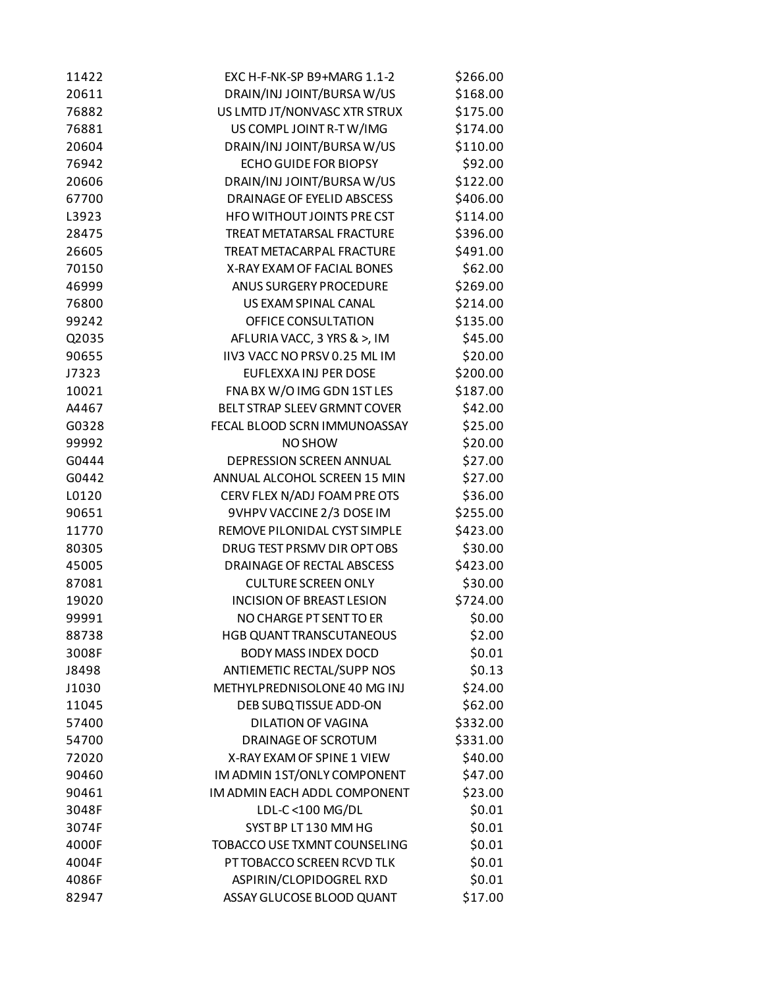| 11422 | EXC H-F-NK-SP B9+MARG 1.1-2       | \$266.00 |
|-------|-----------------------------------|----------|
| 20611 | DRAIN/INJ JOINT/BURSA W/US        | \$168.00 |
| 76882 | US LMTD JT/NONVASC XTR STRUX      | \$175.00 |
| 76881 | US COMPL JOINT R-T W/IMG          | \$174.00 |
| 20604 | DRAIN/INJ JOINT/BURSA W/US        | \$110.00 |
| 76942 | <b>ECHO GUIDE FOR BIOPSY</b>      | \$92.00  |
| 20606 | DRAIN/INJ JOINT/BURSA W/US        | \$122.00 |
| 67700 | DRAINAGE OF EYELID ABSCESS        | \$406.00 |
| L3923 | <b>HFO WITHOUT JOINTS PRE CST</b> | \$114.00 |
| 28475 | <b>TREAT METATARSAL FRACTURE</b>  | \$396.00 |
| 26605 | TREAT METACARPAL FRACTURE         | \$491.00 |
| 70150 | X-RAY EXAM OF FACIAL BONES        | \$62.00  |
| 46999 | <b>ANUS SURGERY PROCEDURE</b>     | \$269.00 |
| 76800 | US EXAM SPINAL CANAL              | \$214.00 |
| 99242 | OFFICE CONSULTATION               | \$135.00 |
| Q2035 | AFLURIA VACC, 3 YRS & >, IM       | \$45.00  |
| 90655 | IIV3 VACC NO PRSV 0.25 ML IM      | \$20.00  |
| J7323 | EUFLEXXAINJ PER DOSE              | \$200.00 |
| 10021 | FNA BX W/O IMG GDN 1ST LES        | \$187.00 |
| A4467 | BELT STRAP SLEEV GRMNT COVER      | \$42.00  |
| G0328 | FECAL BLOOD SCRN IMMUNOASSAY      | \$25.00  |
| 99992 | NO SHOW                           | \$20.00  |
| G0444 | DEPRESSION SCREEN ANNUAL          | \$27.00  |
| G0442 | ANNUAL ALCOHOL SCREEN 15 MIN      | \$27.00  |
| L0120 | CERV FLEX N/ADJ FOAM PRE OTS      | \$36.00  |
| 90651 | 9VHPV VACCINE 2/3 DOSE IM         | \$255.00 |
| 11770 | REMOVE PILONIDAL CYST SIMPLE      | \$423.00 |
| 80305 | DRUG TEST PRSMV DIR OPT OBS       | \$30.00  |
| 45005 | <b>DRAINAGE OF RECTAL ABSCESS</b> | \$423.00 |
| 87081 | <b>CULTURE SCREEN ONLY</b>        | \$30.00  |
| 19020 | <b>INCISION OF BREAST LESION</b>  | \$724.00 |
| 99991 | NO CHARGE PT SENT TO ER           | \$0.00   |
| 88738 | HGB QUANT TRANSCUTANEOUS          | \$2.00   |
| 3008F | <b>BODY MASS INDEX DOCD</b>       | \$0.01   |
| J8498 | ANTIEMETIC RECTAL/SUPP NOS        | \$0.13   |
| J1030 | METHYLPREDNISOLONE 40 MG INJ      | \$24.00  |
| 11045 | DEB SUBQ TISSUE ADD-ON            | \$62.00  |
| 57400 | <b>DILATION OF VAGINA</b>         | \$332.00 |
| 54700 | DRAINAGE OF SCROTUM               | \$331.00 |
| 72020 | X-RAY EXAM OF SPINE 1 VIEW        | \$40.00  |
| 90460 | IM ADMIN 1ST/ONLY COMPONENT       | \$47.00  |
| 90461 | IM ADMIN EACH ADDL COMPONENT      | \$23.00  |
| 3048F | LDL-C <100 MG/DL                  | \$0.01   |
| 3074F | SYST BP LT 130 MM HG              | \$0.01   |
| 4000F | TOBACCO USE TXMNT COUNSELING      | \$0.01   |
| 4004F | PT TOBACCO SCREEN RCVD TLK        | \$0.01   |
| 4086F | ASPIRIN/CLOPIDOGREL RXD           | \$0.01   |
| 82947 | ASSAY GLUCOSE BLOOD QUANT         | \$17.00  |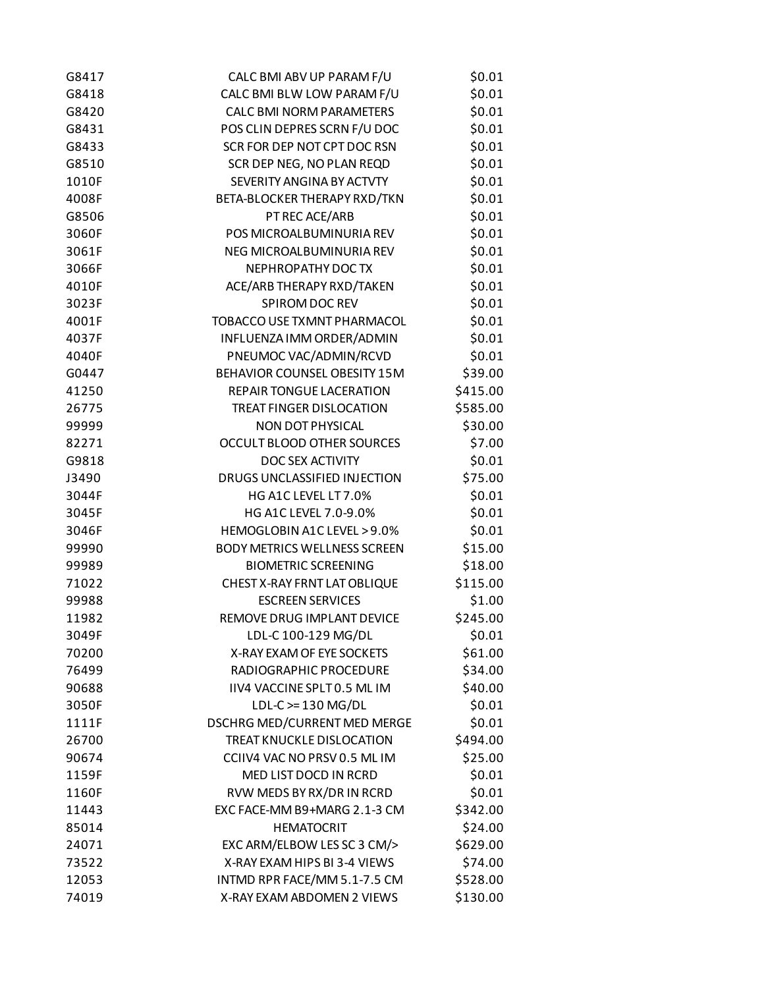| G8417 | CALC BMI ABV UP PARAM F/U           | \$0.01   |
|-------|-------------------------------------|----------|
| G8418 | CALC BMI BLW LOW PARAM F/U          | \$0.01   |
| G8420 | <b>CALC BMI NORM PARAMETERS</b>     | \$0.01   |
| G8431 | POS CLIN DEPRES SCRN F/U DOC        | \$0.01   |
| G8433 | SCR FOR DEP NOT CPT DOC RSN         | \$0.01   |
| G8510 | SCR DEP NEG, NO PLAN REQD           | \$0.01   |
| 1010F | SEVERITY ANGINA BY ACTVTY           | \$0.01   |
| 4008F | BETA-BLOCKER THERAPY RXD/TKN        | \$0.01   |
| G8506 | PT REC ACE/ARB                      | \$0.01   |
| 3060F | POS MICROALBUMINURIA REV            | \$0.01   |
| 3061F | NEG MICROALBUMINURIA REV            | \$0.01   |
| 3066F | NEPHROPATHY DOC TX                  | \$0.01   |
| 4010F | ACE/ARB THERAPY RXD/TAKEN           | \$0.01   |
| 3023F | SPIROM DOC REV                      | \$0.01   |
| 4001F | TOBACCO USE TXMNT PHARMACOL         | \$0.01   |
| 4037F | INFLUENZA IMM ORDER/ADMIN           | \$0.01   |
| 4040F | PNEUMOC VAC/ADMIN/RCVD              | \$0.01   |
| G0447 | BEHAVIOR COUNSEL OBESITY 15M        | \$39.00  |
| 41250 | REPAIR TONGUE LACERATION            | \$415.00 |
| 26775 | <b>TREAT FINGER DISLOCATION</b>     | \$585.00 |
| 99999 | NON DOT PHYSICAL                    | \$30.00  |
| 82271 | OCCULT BLOOD OTHER SOURCES          | \$7.00   |
| G9818 | DOC SEX ACTIVITY                    | \$0.01   |
| J3490 | DRUGS UNCLASSIFIED INJECTION        | \$75.00  |
| 3044F | HG A1C LEVEL LT 7.0%                | \$0.01   |
| 3045F | HG A1C LEVEL 7.0-9.0%               | \$0.01   |
| 3046F | HEMOGLOBIN A1C LEVEL > 9.0%         | \$0.01   |
| 99990 | <b>BODY METRICS WELLNESS SCREEN</b> | \$15.00  |
| 99989 | <b>BIOMETRIC SCREENING</b>          | \$18.00  |
| 71022 | CHEST X-RAY FRNT LAT OBLIQUE        | \$115.00 |
| 99988 | <b>ESCREEN SERVICES</b>             | \$1.00   |
| 11982 | REMOVE DRUG IMPLANT DEVICE          | \$245.00 |
| 3049F | LDL-C 100-129 MG/DL                 | \$0.01   |
| 70200 | X-RAY EXAM OF EYE SOCKETS           | \$61.00  |
| 76499 | RADIOGRAPHIC PROCEDURE              | \$34.00  |
| 90688 | IIV4 VACCINE SPLT 0.5 ML IM         | \$40.00  |
| 3050F | $LDL-C \geq 130 MG/DL$              | \$0.01   |
| 1111F | DSCHRG MED/CURRENT MED MERGE        | \$0.01   |
| 26700 | TREAT KNUCKLE DISLOCATION           | \$494.00 |
| 90674 | CCIIV4 VAC NO PRSV 0.5 ML IM        | \$25.00  |
| 1159F | MED LIST DOCD IN RCRD               | \$0.01   |
| 1160F | RVW MEDS BY RX/DR IN RCRD           | \$0.01   |
| 11443 | EXC FACE-MM B9+MARG 2.1-3 CM        | \$342.00 |
| 85014 | <b>HEMATOCRIT</b>                   | \$24.00  |
| 24071 | EXC ARM/ELBOW LES SC 3 CM/>         | \$629.00 |
| 73522 | X-RAY EXAM HIPS BI 3-4 VIEWS        | \$74.00  |
| 12053 | INTMD RPR FACE/MM 5.1-7.5 CM        | \$528.00 |
| 74019 | X-RAY EXAM ABDOMEN 2 VIEWS          | \$130.00 |
|       |                                     |          |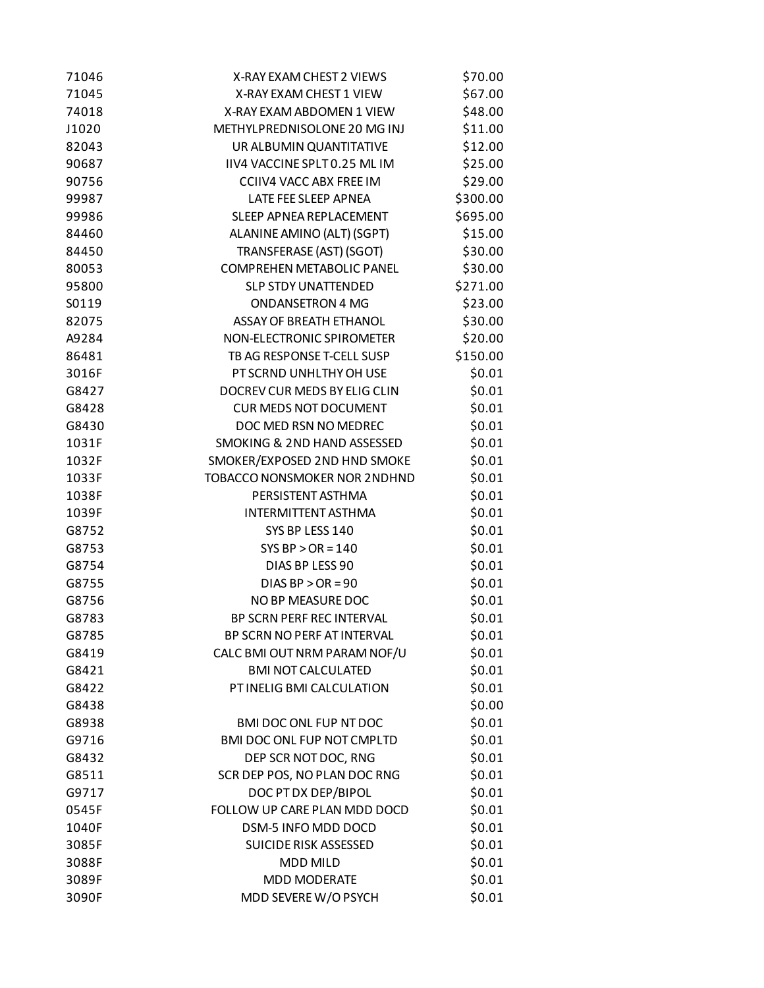| 71046 | X-RAY EXAM CHEST 2 VIEWS            | \$70.00  |
|-------|-------------------------------------|----------|
| 71045 | X-RAY EXAM CHEST 1 VIEW             | \$67.00  |
| 74018 | X-RAY EXAM ABDOMEN 1 VIEW           | \$48.00  |
| J1020 | METHYLPREDNISOLONE 20 MG INJ        | \$11.00  |
| 82043 | UR ALBUMIN QUANTITATIVE             | \$12.00  |
| 90687 | IIV4 VACCINE SPLT 0.25 ML IM        | \$25.00  |
| 90756 | <b>CCIIV4 VACC ABX FREE IM</b>      | \$29.00  |
| 99987 | LATE FEE SLEEP APNEA                | \$300.00 |
| 99986 | SLEEP APNEA REPLACEMENT             | \$695.00 |
| 84460 | ALANINE AMINO (ALT) (SGPT)          | \$15.00  |
| 84450 | TRANSFERASE (AST) (SGOT)            | \$30.00  |
| 80053 | <b>COMPREHEN METABOLIC PANEL</b>    | \$30.00  |
| 95800 | <b>SLP STDY UNATTENDED</b>          | \$271.00 |
| S0119 | <b>ONDANSETRON 4 MG</b>             | \$23.00  |
| 82075 | <b>ASSAY OF BREATH ETHANOL</b>      | \$30.00  |
| A9284 | NON-ELECTRONIC SPIROMETER           | \$20.00  |
| 86481 | TB AG RESPONSE T-CELL SUSP          | \$150.00 |
| 3016F | PT SCRND UNHLTHY OH USE             | \$0.01   |
| G8427 | DOCREV CUR MEDS BY ELIG CLIN        | \$0.01   |
| G8428 | <b>CUR MEDS NOT DOCUMENT</b>        | \$0.01   |
| G8430 | DOC MED RSN NO MEDREC               | \$0.01   |
| 1031F | SMOKING & 2ND HAND ASSESSED         | \$0.01   |
| 1032F | SMOKER/EXPOSED 2ND HND SMOKE        | \$0.01   |
| 1033F | <b>TOBACCO NONSMOKER NOR 2NDHND</b> | \$0.01   |
| 1038F | PERSISTENT ASTHMA                   | \$0.01   |
| 1039F | <b>INTERMITTENT ASTHMA</b>          | \$0.01   |
| G8752 | SYS BP LESS 140                     | \$0.01   |
| G8753 | SYS BP $>$ OR = 140                 | \$0.01   |
| G8754 | DIAS BP LESS 90                     | \$0.01   |
| G8755 | DIAS BP $>$ OR = 90                 | \$0.01   |
| G8756 | NO BP MEASURE DOC                   | \$0.01   |
| G8783 | BP SCRN PERF REC INTERVAL           | \$0.01   |
| G8785 | BP SCRN NO PERF AT INTERVAL         | \$0.01   |
| G8419 | CALC BMI OUT NRM PARAM NOF/U        | \$0.01   |
| G8421 | <b>BMI NOT CALCULATED</b>           | \$0.01   |
| G8422 | PT INELIG BMI CALCULATION           | \$0.01   |
| G8438 |                                     | \$0.00   |
| G8938 | BMI DOC ONL FUP NT DOC              | \$0.01   |
| G9716 | BMI DOC ONL FUP NOT CMPLTD          | \$0.01   |
| G8432 | DEP SCR NOT DOC, RNG                | \$0.01   |
| G8511 | SCR DEP POS, NO PLAN DOC RNG        | \$0.01   |
| G9717 | DOC PT DX DEP/BIPOL                 | \$0.01   |
| 0545F | FOLLOW UP CARE PLAN MDD DOCD        | \$0.01   |
| 1040F | DSM-5 INFO MDD DOCD                 | \$0.01   |
| 3085F | SUICIDE RISK ASSESSED               | \$0.01   |
| 3088F | <b>MDD MILD</b>                     | \$0.01   |
| 3089F | <b>MDD MODERATE</b>                 | \$0.01   |
| 3090F | MDD SEVERE W/O PSYCH                | \$0.01   |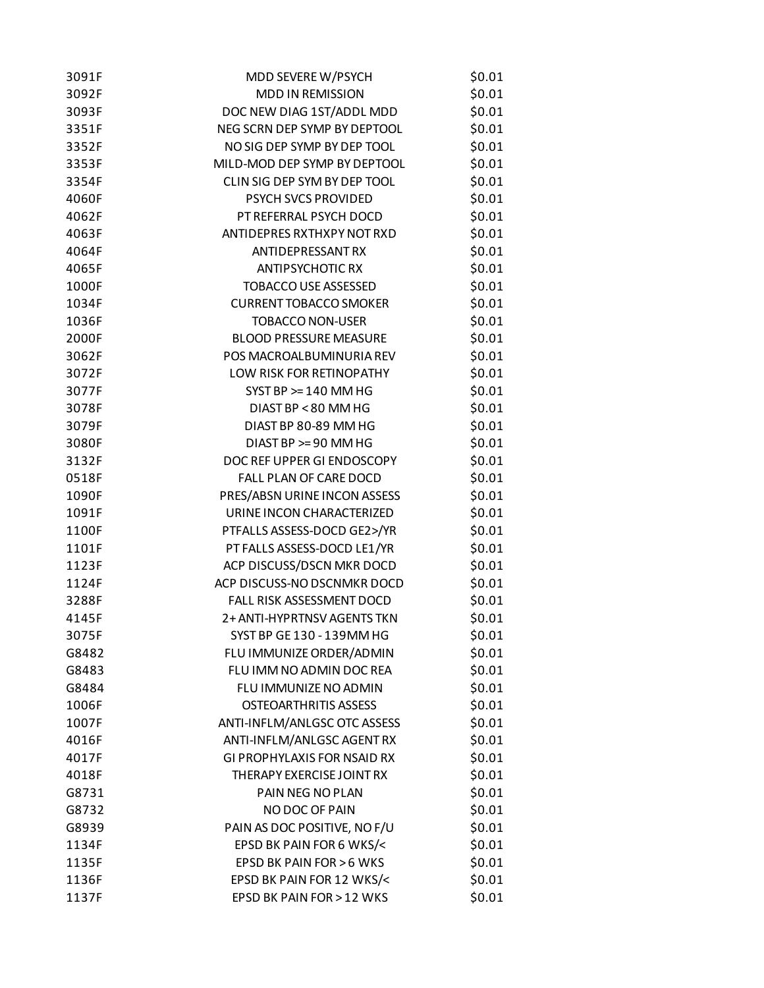| 3091F | MDD SEVERE W/PSYCH                 | \$0.01 |
|-------|------------------------------------|--------|
| 3092F | MDD IN REMISSION                   | \$0.01 |
| 3093F | DOC NEW DIAG 1ST/ADDL MDD          | \$0.01 |
| 3351F | NEG SCRN DEP SYMP BY DEPTOOL       | \$0.01 |
| 3352F | NO SIG DEP SYMP BY DEP TOOL        | \$0.01 |
| 3353F | MILD-MOD DEP SYMP BY DEPTOOL       | \$0.01 |
| 3354F | CLIN SIG DEP SYM BY DEP TOOL       | \$0.01 |
| 4060F | PSYCH SVCS PROVIDED                | \$0.01 |
| 4062F | PT REFERRAL PSYCH DOCD             | \$0.01 |
| 4063F | ANTIDEPRES RXTHXPY NOT RXD         | \$0.01 |
| 4064F | <b>ANTIDEPRESSANT RX</b>           | \$0.01 |
| 4065F | <b>ANTIPSYCHOTIC RX</b>            | \$0.01 |
| 1000F | <b>TOBACCO USE ASSESSED</b>        | \$0.01 |
| 1034F | <b>CURRENT TOBACCO SMOKER</b>      | \$0.01 |
| 1036F | <b>TOBACCO NON-USER</b>            | \$0.01 |
| 2000F | <b>BLOOD PRESSURE MEASURE</b>      | \$0.01 |
| 3062F | POS MACROALBUMINURIA REV           | \$0.01 |
| 3072F | LOW RISK FOR RETINOPATHY           | \$0.01 |
| 3077F | $SYST$ BP $>= 140$ MM HG           | \$0.01 |
| 3078F | DIAST BP < 80 MM HG                | \$0.01 |
| 3079F | DIAST BP 80-89 MM HG               | \$0.01 |
| 3080F | DIAST BP > = 90 MM HG              | \$0.01 |
| 3132F | DOC REF UPPER GI ENDOSCOPY         | \$0.01 |
| 0518F | FALL PLAN OF CARE DOCD             | \$0.01 |
| 1090F | PRES/ABSN URINE INCON ASSESS       | \$0.01 |
| 1091F | URINE INCON CHARACTERIZED          | \$0.01 |
| 1100F | PTFALLS ASSESS-DOCD GE2>/YR        | \$0.01 |
| 1101F | PT FALLS ASSESS-DOCD LE1/YR        | \$0.01 |
| 1123F | ACP DISCUSS/DSCN MKR DOCD          | \$0.01 |
| 1124F | ACP DISCUSS-NO DSCNMKR DOCD        | \$0.01 |
| 3288F | FALL RISK ASSESSMENT DOCD          | \$0.01 |
| 4145F | 2+ ANTI-HYPRTNSV AGENTS TKN        | \$0.01 |
| 3075F | SYST BP GE 130 - 139MM HG          | \$0.01 |
| G8482 | FLU IMMUNIZE ORDER/ADMIN           | \$0.01 |
| G8483 | FLU IMM NO ADMIN DOC REA           | \$0.01 |
| G8484 | FLU IMMUNIZE NO ADMIN              | \$0.01 |
| 1006F | <b>OSTEOARTHRITIS ASSESS</b>       | \$0.01 |
| 1007F | ANTI-INFLM/ANLGSC OTC ASSESS       | \$0.01 |
| 4016F | ANTI-INFLM/ANLGSC AGENT RX         | \$0.01 |
| 4017F | <b>GI PROPHYLAXIS FOR NSAID RX</b> | \$0.01 |
| 4018F | THERAPY EXERCISE JOINT RX          | \$0.01 |
| G8731 | PAIN NEG NO PLAN                   | \$0.01 |
| G8732 | NO DOC OF PAIN                     | \$0.01 |
| G8939 | PAIN AS DOC POSITIVE, NO F/U       | \$0.01 |
| 1134F | EPSD BK PAIN FOR 6 WKS/<           | \$0.01 |
| 1135F | EPSD BK PAIN FOR > 6 WKS           | \$0.01 |
| 1136F | EPSD BK PAIN FOR 12 WKS/<          | \$0.01 |
| 1137F | EPSD BK PAIN FOR > 12 WKS          | \$0.01 |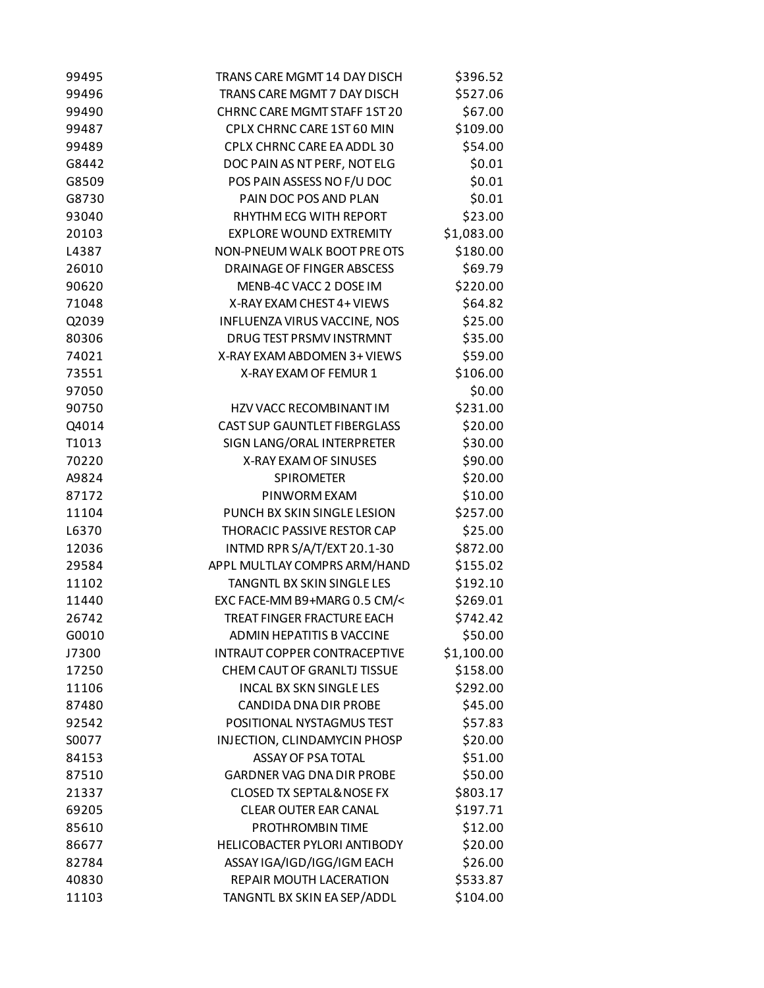| 99495 | TRANS CARE MGMT 14 DAY DISCH         | \$396.52   |
|-------|--------------------------------------|------------|
| 99496 | TRANS CARE MGMT 7 DAY DISCH          | \$527.06   |
| 99490 | CHRNC CARE MGMT STAFF 1ST 20         | \$67.00    |
| 99487 | CPLX CHRNC CARE 1ST 60 MIN           | \$109.00   |
| 99489 | CPLX CHRNC CARE EA ADDL 30           | \$54.00    |
| G8442 | DOC PAIN AS NT PERF, NOT ELG         | \$0.01     |
| G8509 | POS PAIN ASSESS NO F/U DOC           | \$0.01     |
| G8730 | PAIN DOC POS AND PLAN                | \$0.01     |
| 93040 | RHYTHM ECG WITH REPORT               | \$23.00    |
| 20103 | <b>EXPLORE WOUND EXTREMITY</b>       | \$1,083.00 |
| L4387 | NON-PNEUM WALK BOOT PRE OTS          | \$180.00   |
| 26010 | DRAINAGE OF FINGER ABSCESS           | \$69.79    |
| 90620 | MENB-4C VACC 2 DOSE IM               | \$220.00   |
| 71048 | X-RAY EXAM CHEST 4+ VIEWS            | \$64.82    |
| Q2039 | INFLUENZA VIRUS VACCINE, NOS         | \$25.00    |
| 80306 | DRUG TEST PRSMV INSTRMNT             | \$35.00    |
| 74021 | X-RAY EXAM ABDOMEN 3+ VIEWS          | \$59.00    |
| 73551 | X-RAY EXAM OF FEMUR 1                | \$106.00   |
| 97050 |                                      | \$0.00     |
| 90750 | HZV VACC RECOMBINANT IM              | \$231.00   |
| Q4014 | <b>CAST SUP GAUNTLET FIBERGLASS</b>  | \$20.00    |
| T1013 | SIGN LANG/ORAL INTERPRETER           | \$30.00    |
| 70220 | X-RAY EXAM OF SINUSES                | \$90.00    |
| A9824 | <b>SPIROMETER</b>                    | \$20.00    |
| 87172 | PINWORM EXAM                         | \$10.00    |
| 11104 | PUNCH BX SKIN SINGLE LESION          | \$257.00   |
| L6370 | THORACIC PASSIVE RESTOR CAP          | \$25.00    |
| 12036 | INTMD RPR S/A/T/EXT 20.1-30          | \$872.00   |
| 29584 | APPL MULTLAY COMPRS ARM/HAND         | \$155.02   |
| 11102 | TANGNTL BX SKIN SINGLE LES           | \$192.10   |
| 11440 | EXC FACE-MM B9+MARG 0.5 CM/<         | \$269.01   |
| 26742 | TREAT FINGER FRACTURE EACH           | \$742.42   |
| G0010 | <b>ADMIN HEPATITIS B VACCINE</b>     | \$50.00    |
| J7300 | <b>INTRAUT COPPER CONTRACEPTIVE</b>  | \$1,100.00 |
| 17250 | CHEM CAUT OF GRANLTJ TISSUE          | \$158.00   |
| 11106 | <b>INCAL BX SKN SINGLE LES</b>       | \$292.00   |
| 87480 | CANDIDA DNA DIR PROBE                | \$45.00    |
| 92542 | POSITIONAL NYSTAGMUS TEST            | \$57.83    |
| S0077 | INJECTION, CLINDAMYCIN PHOSP         | \$20.00    |
| 84153 | ASSAY OF PSA TOTAL                   | \$51.00    |
| 87510 | <b>GARDNER VAG DNA DIR PROBE</b>     | \$50.00    |
| 21337 | <b>CLOSED TX SEPTAL&amp; NOSE FX</b> | \$803.17   |
| 69205 | <b>CLEAR OUTER EAR CANAL</b>         | \$197.71   |
| 85610 | PROTHROMBIN TIME                     | \$12.00    |
| 86677 | HELICOBACTER PYLORI ANTIBODY         | \$20.00    |
| 82784 | ASSAY IGA/IGD/IGG/IGM EACH           | \$26.00    |
| 40830 | REPAIR MOUTH LACERATION              | \$533.87   |
| 11103 | TANGNTL BX SKIN EA SEP/ADDL          | \$104.00   |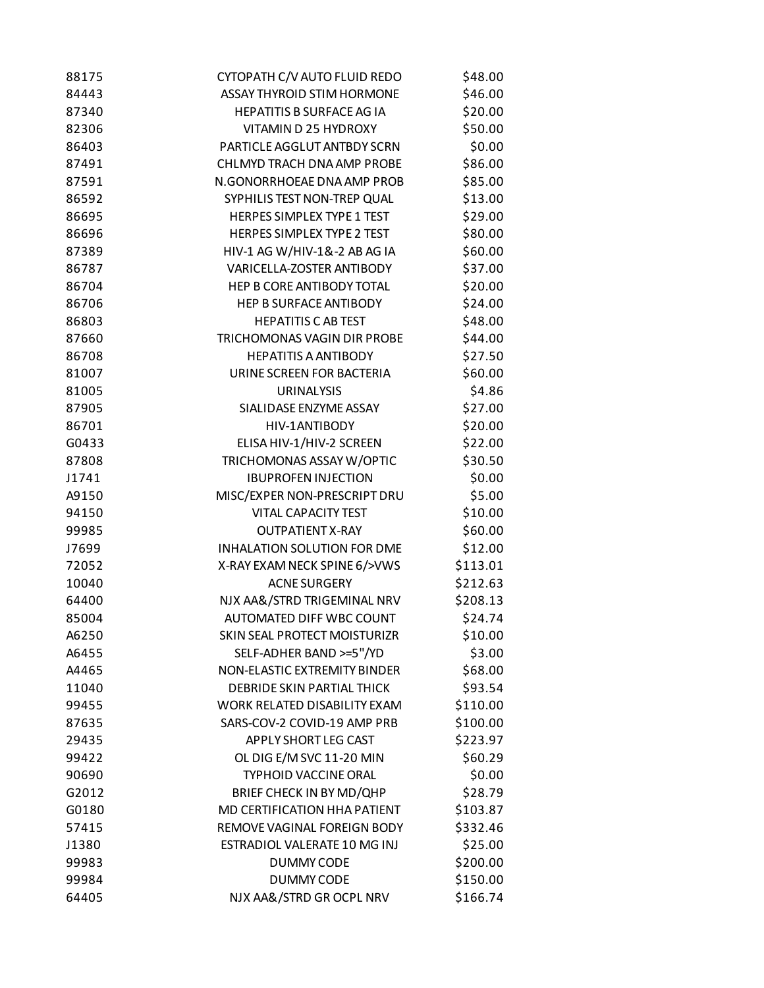| 88175 | CYTOPATH C/V AUTO FLUID REDO      | \$48.00  |
|-------|-----------------------------------|----------|
| 84443 | <b>ASSAY THYROID STIM HORMONE</b> | \$46.00  |
| 87340 | <b>HEPATITIS B SURFACE AG IA</b>  | \$20.00  |
| 82306 | VITAMIN D 25 HYDROXY              | \$50.00  |
| 86403 | PARTICLE AGGLUT ANTBDY SCRN       | \$0.00   |
| 87491 | CHLMYD TRACH DNA AMP PROBE        | \$86.00  |
| 87591 | N.GONORRHOEAE DNA AMP PROB        | \$85.00  |
| 86592 | SYPHILIS TEST NON-TREP QUAL       | \$13.00  |
| 86695 | <b>HERPES SIMPLEX TYPE 1 TEST</b> | \$29.00  |
| 86696 | HERPES SIMPLEX TYPE 2 TEST        | \$80.00  |
| 87389 | HIV-1 AG W/HIV-1&-2 AB AG IA      | \$60.00  |
| 86787 | VARICELLA-ZOSTER ANTIBODY         | \$37.00  |
| 86704 | HEP B CORE ANTIBODY TOTAL         | \$20.00  |
| 86706 | <b>HEP B SURFACE ANTIBODY</b>     | \$24.00  |
| 86803 | <b>HEPATITIS C AB TEST</b>        | \$48.00  |
| 87660 | TRICHOMONAS VAGIN DIR PROBE       | \$44.00  |
| 86708 | <b>HEPATITIS A ANTIBODY</b>       | \$27.50  |
| 81007 | URINE SCREEN FOR BACTERIA         | \$60.00  |
| 81005 | <b>URINALYSIS</b>                 | \$4.86   |
| 87905 | SIALIDASE ENZYME ASSAY            | \$27.00  |
| 86701 | HIV-1ANTIBODY                     | \$20.00  |
| G0433 | ELISA HIV-1/HIV-2 SCREEN          | \$22.00  |
| 87808 | TRICHOMONAS ASSAY W/OPTIC         | \$30.50  |
| J1741 | <b>IBUPROFEN INJECTION</b>        | \$0.00   |
| A9150 | MISC/EXPER NON-PRESCRIPT DRU      | \$5.00   |
| 94150 | <b>VITAL CAPACITY TEST</b>        | \$10.00  |
| 99985 | <b>OUTPATIENT X-RAY</b>           | \$60.00  |
| J7699 | INHALATION SOLUTION FOR DME       | \$12.00  |
| 72052 | X-RAY EXAM NECK SPINE 6/>VWS      | \$113.01 |
| 10040 | <b>ACNE SURGERY</b>               | \$212.63 |
| 64400 | NJX AA&/STRD TRIGEMINAL NRV       | \$208.13 |
| 85004 | <b>AUTOMATED DIFF WBC COUNT</b>   | \$24.74  |
| A6250 | SKIN SEAL PROTECT MOISTURIZR      | \$10.00  |
| A6455 | SELF-ADHER BAND >=5"/YD           | \$3.00   |
| A4465 | NON-ELASTIC EXTREMITY BINDER      | \$68.00  |
| 11040 | <b>DEBRIDE SKIN PARTIAL THICK</b> | \$93.54  |
| 99455 | WORK RELATED DISABILITY EXAM      | \$110.00 |
| 87635 | SARS-COV-2 COVID-19 AMP PRB       | \$100.00 |
| 29435 | APPLY SHORT LEG CAST              | \$223.97 |
| 99422 | OL DIG E/M SVC 11-20 MIN          | \$60.29  |
| 90690 | <b>TYPHOID VACCINE ORAL</b>       | \$0.00   |
|       |                                   |          |
| G2012 | BRIEF CHECK IN BY MD/QHP          | \$28.79  |
| G0180 | MD CERTIFICATION HHA PATIENT      | \$103.87 |
| 57415 | REMOVE VAGINAL FOREIGN BODY       | \$332.46 |
| J1380 | ESTRADIOL VALERATE 10 MG INJ      | \$25.00  |
| 99983 | <b>DUMMY CODE</b>                 | \$200.00 |
| 99984 | <b>DUMMY CODE</b>                 | \$150.00 |
| 64405 | NJX AA&/STRD GR OCPL NRV          | \$166.74 |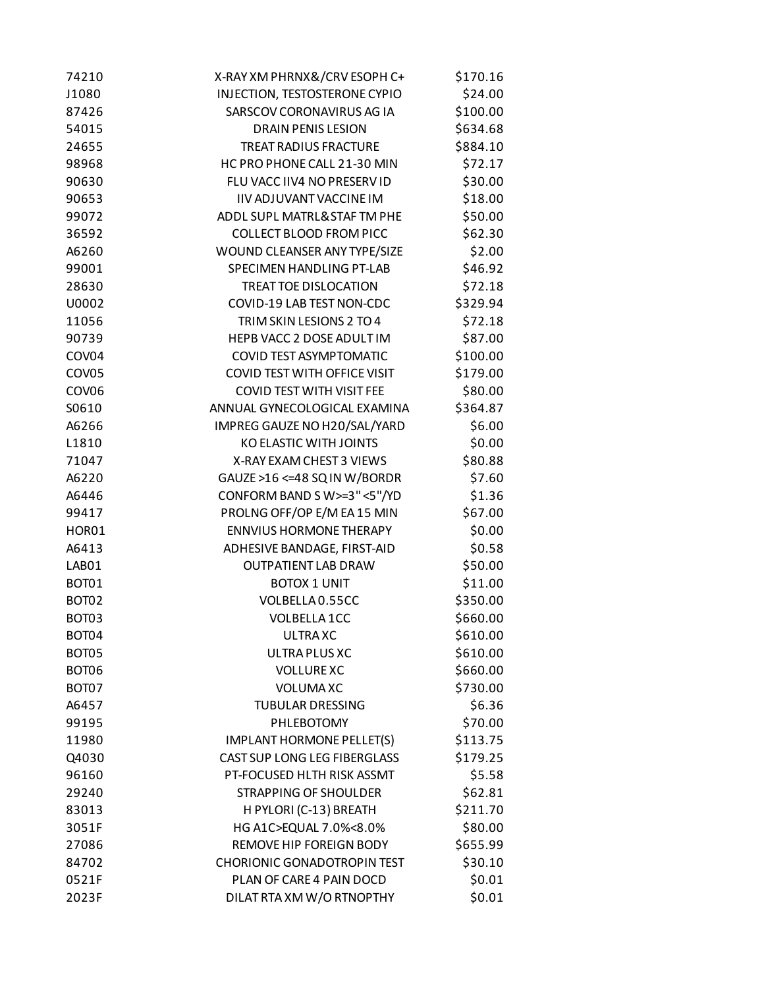| 74210             | X-RAY XM PHRNX&/CRV ESOPH C+        | \$170.16 |
|-------------------|-------------------------------------|----------|
| J1080             | INJECTION, TESTOSTERONE CYPIO       | \$24.00  |
| 87426             | SARSCOV CORONAVIRUS AG IA           | \$100.00 |
| 54015             | <b>DRAIN PENIS LESION</b>           | \$634.68 |
| 24655             | <b>TREAT RADIUS FRACTURE</b>        | \$884.10 |
| 98968             | HC PRO PHONE CALL 21-30 MIN         | \$72.17  |
| 90630             | FLU VACC IIV4 NO PRESERV ID         | \$30.00  |
| 90653             | IIV ADJUVANT VACCINE IM             | \$18.00  |
| 99072             | ADDL SUPL MATRL& STAF TM PHE        | \$50.00  |
| 36592             | <b>COLLECT BLOOD FROM PICC</b>      | \$62.30  |
| A6260             | WOUND CLEANSER ANY TYPE/SIZE        | \$2.00   |
| 99001             | SPECIMEN HANDLING PT-LAB            | \$46.92  |
| 28630             | <b>TREAT TOE DISLOCATION</b>        | \$72.18  |
| U0002             | COVID-19 LAB TEST NON-CDC           | \$329.94 |
| 11056             | TRIM SKIN LESIONS 2 TO 4            | \$72.18  |
| 90739             | HEPB VACC 2 DOSE ADULT IM           | \$87.00  |
| COV04             | <b>COVID TEST ASYMPTOMATIC</b>      | \$100.00 |
| COV05             | <b>COVID TEST WITH OFFICE VISIT</b> | \$179.00 |
| COV <sub>06</sub> | <b>COVID TEST WITH VISIT FEE</b>    | \$80.00  |
| S0610             | ANNUAL GYNECOLOGICAL EXAMINA        | \$364.87 |
| A6266             | IMPREG GAUZE NO H20/SAL/YARD        | \$6.00   |
| L1810             | <b>KO ELASTIC WITH JOINTS</b>       | \$0.00   |
| 71047             | X-RAY EXAM CHEST 3 VIEWS            | \$80.88  |
| A6220             | GAUZE >16 <= 48 SQ IN W/BORDR       | \$7.60   |
| A6446             | CONFORM BAND SW>=3"<5"/YD           | \$1.36   |
| 99417             | PROLNG OFF/OP E/M EA 15 MIN         | \$67.00  |
| HOR01             | <b>ENNVIUS HORMONE THERAPY</b>      | \$0.00   |
| A6413             | ADHESIVE BANDAGE, FIRST-AID         | \$0.58   |
| LAB01             | <b>OUTPATIENT LAB DRAW</b>          | \$50.00  |
| BOT01             | <b>BOTOX 1 UNIT</b>                 | \$11.00  |
| BOT02             | VOLBELLA 0.55CC                     | \$350.00 |
| BOT03             | VOLBELLA 1CC                        | \$660.00 |
| BOT04             | <b>ULTRAXC</b>                      | \$610.00 |
| BOT05             | ULTRA PLUS XC                       | \$610.00 |
| BOT06             | <b>VOLLURE XC</b>                   | \$660.00 |
| BOT07             | <b>VOLUMAXC</b>                     | \$730.00 |
| A6457             | <b>TUBULAR DRESSING</b>             | \$6.36   |
| 99195             | PHLEBOTOMY                          | \$70.00  |
| 11980             | IMPLANT HORMONE PELLET(S)           | \$113.75 |
| Q4030             | CAST SUP LONG LEG FIBERGLASS        | \$179.25 |
| 96160             | PT-FOCUSED HLTH RISK ASSMT          | \$5.58   |
| 29240             | <b>STRAPPING OF SHOULDER</b>        | \$62.81  |
| 83013             | H PYLORI (C-13) BREATH              | \$211.70 |
| 3051F             | HG A1C>EQUAL 7.0%<8.0%              | \$80.00  |
| 27086             | REMOVE HIP FOREIGN BODY             | \$655.99 |
| 84702             | <b>CHORIONIC GONADOTROPIN TEST</b>  | \$30.10  |
| 0521F             | PLAN OF CARE 4 PAIN DOCD            | \$0.01   |
| 2023F             | DILAT RTA XM W/O RTNOPTHY           | \$0.01   |